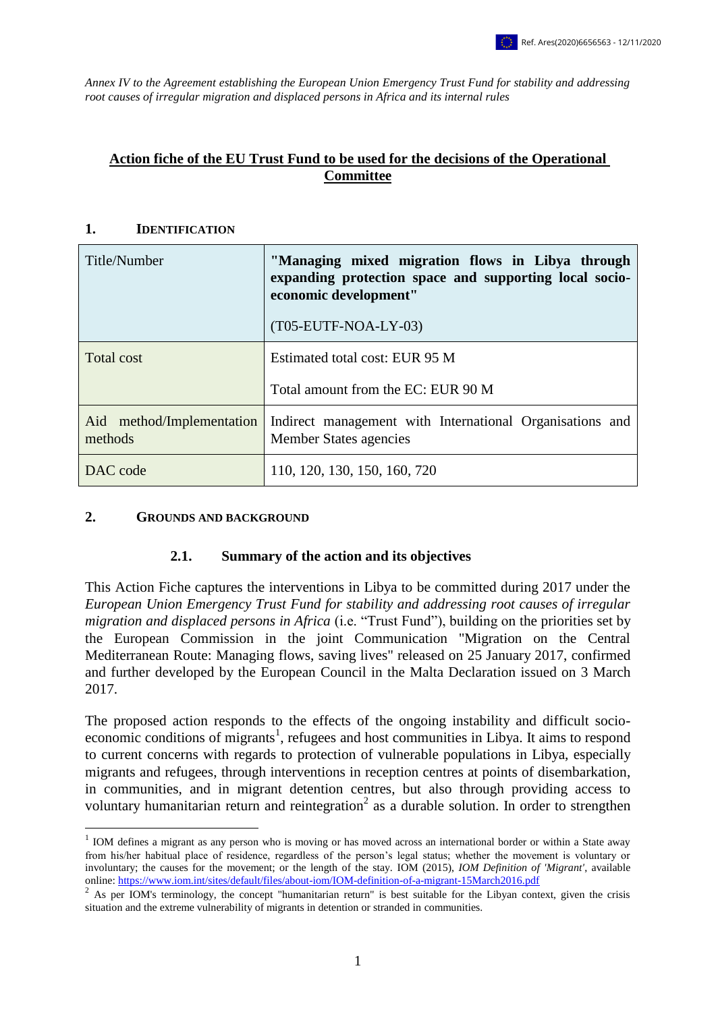*Annex IV to the Agreement establishing the European Union Emergency Trust Fund for stability and addressing root causes of irregular migration and displaced persons in Africa and its internal rules*

### **Action fiche of the EU Trust Fund to be used for the decisions of the Operational Committee**

#### **1. IDENTIFICATION**

| Title/Number                         | "Managing mixed migration flows in Libya through<br>expanding protection space and supporting local socio-<br>economic development"<br>(T05-EUTF-NOA-LY-03) |
|--------------------------------------|-------------------------------------------------------------------------------------------------------------------------------------------------------------|
| Total cost                           | Estimated total cost: EUR 95 M                                                                                                                              |
|                                      | Total amount from the EC: EUR 90 M                                                                                                                          |
| Aid method/Implementation<br>methods | Indirect management with International Organisations and<br><b>Member States agencies</b>                                                                   |
| DAC code                             | 110, 120, 130, 150, 160, 720                                                                                                                                |

#### **2. GROUNDS AND BACKGROUND**

<u>.</u>

#### **2.1. Summary of the action and its objectives**

This Action Fiche captures the interventions in Libya to be committed during 2017 under the *European Union Emergency Trust Fund for stability and addressing root causes of irregular migration and displaced persons in Africa* (i.e. "Trust Fund"), building on the priorities set by the European Commission in the joint Communication "Migration on the Central Mediterranean Route: Managing flows, saving lives" released on 25 January 2017, confirmed and further developed by the European Council in the Malta Declaration issued on 3 March 2017.

The proposed action responds to the effects of the ongoing instability and difficult socioeconomic conditions of migrants<sup>1</sup>, refugees and host communities in Libya. It aims to respond to current concerns with regards to protection of vulnerable populations in Libya, especially migrants and refugees, through interventions in reception centres at points of disembarkation, in communities, and in migrant detention centres, but also through providing access to voluntary humanitarian return and reintegration<sup>2</sup> as a durable solution. In order to strengthen

 $1$  IOM defines a migrant as any person who is moving or has moved across an international border or within a State away from his/her habitual place of residence, regardless of the person's legal status; whether the movement is voluntary or involuntary; the causes for the movement; or the length of the stay. IOM (2015), *IOM Definition of 'Migrant'*, available online:<https://www.iom.int/sites/default/files/about-iom/IOM-definition-of-a-migrant-15March2016.pdf>

<sup>&</sup>lt;sup>2</sup> As per IOM's terminology, the concept "humanitarian return" is best suitable for the Libyan context, given the crisis situation and the extreme vulnerability of migrants in detention or stranded in communities.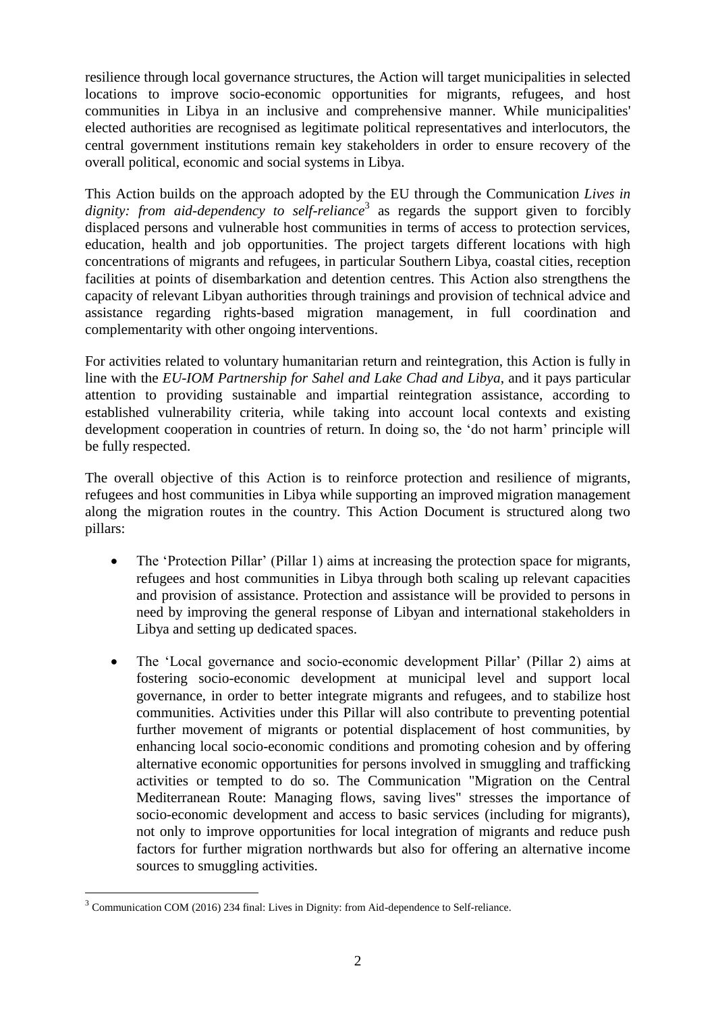resilience through local governance structures, the Action will target municipalities in selected locations to improve socio-economic opportunities for migrants, refugees, and host communities in Libya in an inclusive and comprehensive manner. While municipalities' elected authorities are recognised as legitimate political representatives and interlocutors, the central government institutions remain key stakeholders in order to ensure recovery of the overall political, economic and social systems in Libya.

This Action builds on the approach adopted by the EU through the Communication *Lives in*  dignity: from aid-dependency to self-reliance<sup>3</sup> as regards the support given to forcibly displaced persons and vulnerable host communities in terms of access to protection services, education, health and job opportunities. The project targets different locations with high concentrations of migrants and refugees, in particular Southern Libya, coastal cities, reception facilities at points of disembarkation and detention centres. This Action also strengthens the capacity of relevant Libyan authorities through trainings and provision of technical advice and assistance regarding rights-based migration management, in full coordination and complementarity with other ongoing interventions.

For activities related to voluntary humanitarian return and reintegration, this Action is fully in line with the *EU-IOM Partnership for Sahel and Lake Chad and Libya*, and it pays particular attention to providing sustainable and impartial reintegration assistance, according to established vulnerability criteria, while taking into account local contexts and existing development cooperation in countries of return. In doing so, the 'do not harm' principle will be fully respected.

The overall objective of this Action is to reinforce protection and resilience of migrants, refugees and host communities in Libya while supporting an improved migration management along the migration routes in the country. This Action Document is structured along two pillars:

- The 'Protection Pillar' (Pillar 1) aims at increasing the protection space for migrants, refugees and host communities in Libya through both scaling up relevant capacities and provision of assistance. Protection and assistance will be provided to persons in need by improving the general response of Libyan and international stakeholders in Libya and setting up dedicated spaces.
- The 'Local governance and socio-economic development Pillar' (Pillar 2) aims at fostering socio-economic development at municipal level and support local governance, in order to better integrate migrants and refugees, and to stabilize host communities. Activities under this Pillar will also contribute to preventing potential further movement of migrants or potential displacement of host communities, by enhancing local socio-economic conditions and promoting cohesion and by offering alternative economic opportunities for persons involved in smuggling and trafficking activities or tempted to do so. The Communication "Migration on the Central Mediterranean Route: Managing flows, saving lives" stresses the importance of socio-economic development and access to basic services (including for migrants), not only to improve opportunities for local integration of migrants and reduce push factors for further migration northwards but also for offering an alternative income sources to smuggling activities.

<u>.</u>

 $3$  Communication COM (2016) 234 final: Lives in Dignity: from Aid-dependence to Self-reliance.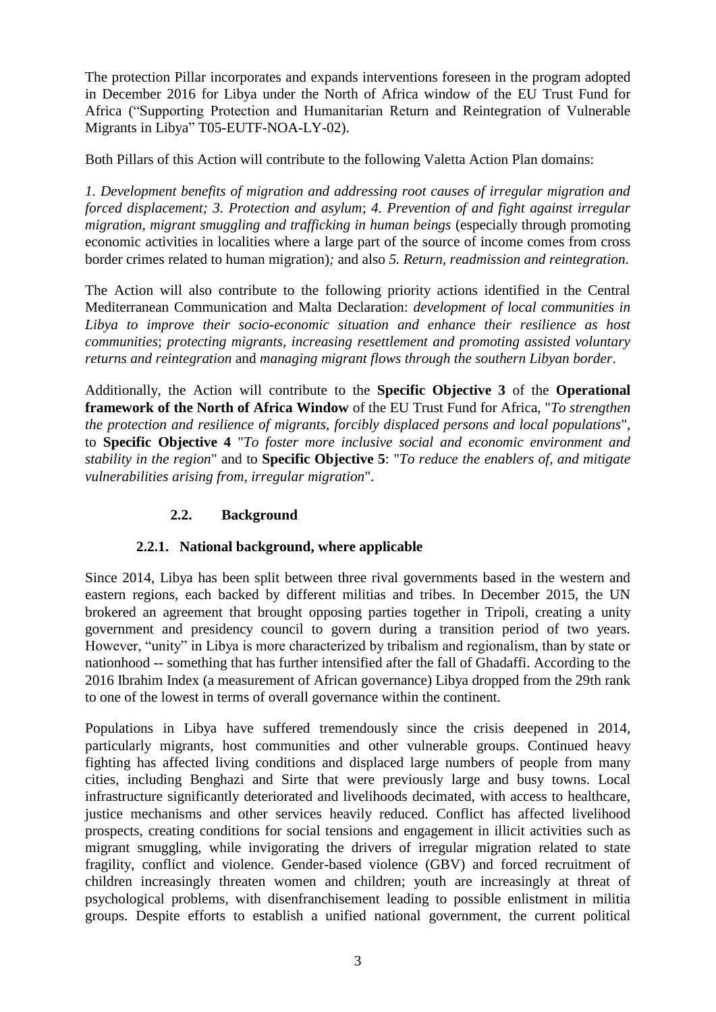The protection Pillar incorporates and expands interventions foreseen in the program adopted in December 2016 for Libya under the North of Africa window of the EU Trust Fund for Africa ("Supporting Protection and Humanitarian Return and Reintegration of Vulnerable Migrants in Libya" T05-EUTF-NOA-LY-02).

Both Pillars of this Action will contribute to the following Valetta Action Plan domains:

*1. Development benefits of migration and addressing root causes of irregular migration and forced displacement; 3. Protection and asylum*; *4. Prevention of and fight against irregular migration, migrant smuggling and trafficking in human beings* (especially through promoting economic activities in localities where a large part of the source of income comes from cross border crimes related to human migration)*;* and also *5. Return, readmission and reintegration.*

The Action will also contribute to the following priority actions identified in the Central Mediterranean Communication and Malta Declaration: *development of local communities in Libya to improve their socio-economic situation and enhance their resilience as host communities*; *protecting migrants*, *increasing resettlement and promoting assisted voluntary returns and reintegration* and *managing migrant flows through the southern Libyan border*.

Additionally, the Action will contribute to the **Specific Objective 3** of the **Operational framework of the North of Africa Window** of the EU Trust Fund for Africa, "*To strengthen the protection and resilience of migrants, forcibly displaced persons and local populations*", to **Specific Objective 4** "*To foster more inclusive social and economic environment and stability in the region*" and to **Specific Objective 5**: "*To reduce the enablers of, and mitigate vulnerabilities arising from, irregular migration*".

## **2.2. Background**

## **2.2.1. National background, where applicable**

Since 2014, Libya has been split between three rival governments based in the western and eastern regions, each backed by different militias and tribes. In December 2015, the UN brokered an agreement that brought opposing parties together in Tripoli, creating a unity government and presidency council to govern during a transition period of two years. However, "unity" in Libya is more characterized by tribalism and regionalism, than by state or nationhood -- something that has further intensified after the fall of Ghadaffi. According to the 2016 Ibrahim Index (a measurement of African governance) Libya dropped from the 29th rank to one of the lowest in terms of overall governance within the continent.

Populations in Libya have suffered tremendously since the crisis deepened in 2014, particularly migrants, host communities and other vulnerable groups. Continued heavy fighting has affected living conditions and displaced large numbers of people from many cities, including Benghazi and Sirte that were previously large and busy towns. Local infrastructure significantly deteriorated and livelihoods decimated, with access to healthcare, justice mechanisms and other services heavily reduced. Conflict has affected livelihood prospects, creating conditions for social tensions and engagement in illicit activities such as migrant smuggling, while invigorating the drivers of irregular migration related to state fragility, conflict and violence. Gender-based violence (GBV) and forced recruitment of children increasingly threaten women and children; youth are increasingly at threat of psychological problems, with disenfranchisement leading to possible enlistment in militia groups. Despite efforts to establish a unified national government, the current political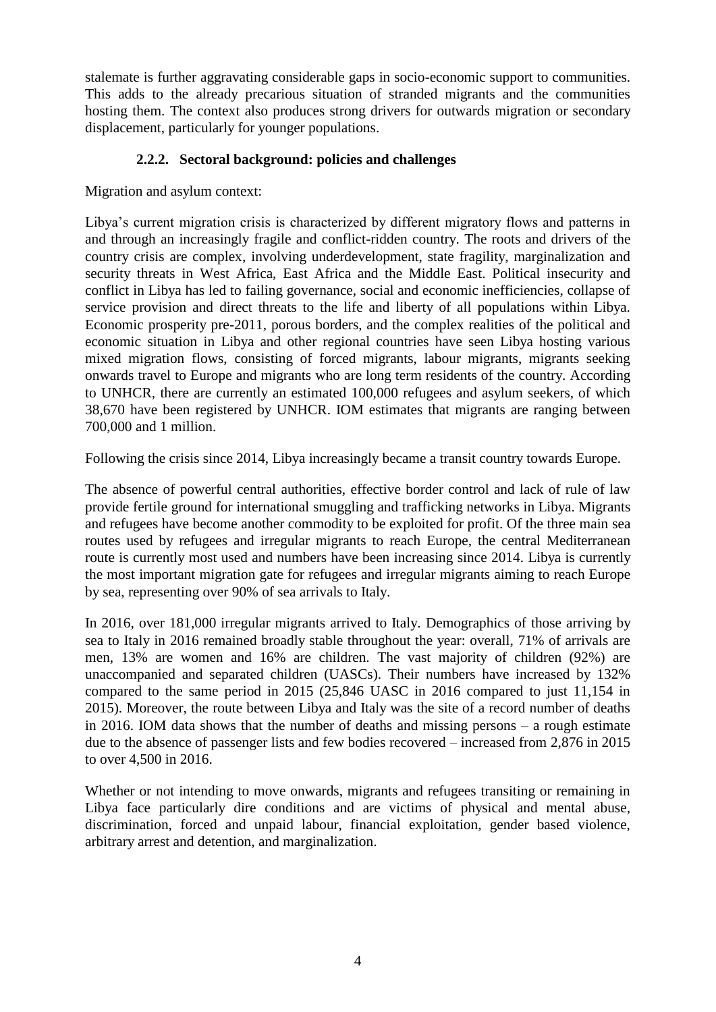stalemate is further aggravating considerable gaps in socio-economic support to communities. This adds to the already precarious situation of stranded migrants and the communities hosting them. The context also produces strong drivers for outwards migration or secondary displacement, particularly for younger populations.

### **2.2.2. Sectoral background: policies and challenges**

Migration and asylum context:

Libya's current migration crisis is characterized by different migratory flows and patterns in and through an increasingly fragile and conflict-ridden country. The roots and drivers of the country crisis are complex, involving underdevelopment, state fragility, marginalization and security threats in West Africa, East Africa and the Middle East. Political insecurity and conflict in Libya has led to failing governance, social and economic inefficiencies, collapse of service provision and direct threats to the life and liberty of all populations within Libya. Economic prosperity pre-2011, porous borders, and the complex realities of the political and economic situation in Libya and other regional countries have seen Libya hosting various mixed migration flows, consisting of forced migrants, labour migrants, migrants seeking onwards travel to Europe and migrants who are long term residents of the country. According to UNHCR, there are currently an estimated 100,000 refugees and asylum seekers, of which 38,670 have been registered by UNHCR. IOM estimates that migrants are ranging between 700,000 and 1 million.

Following the crisis since 2014, Libya increasingly became a transit country towards Europe.

The absence of powerful central authorities, effective border control and lack of rule of law provide fertile ground for international smuggling and trafficking networks in Libya. Migrants and refugees have become another commodity to be exploited for profit. Of the three main sea routes used by refugees and irregular migrants to reach Europe, the central Mediterranean route is currently most used and numbers have been increasing since 2014. Libya is currently the most important migration gate for refugees and irregular migrants aiming to reach Europe by sea, representing over 90% of sea arrivals to Italy.

In 2016, over 181,000 irregular migrants arrived to Italy. Demographics of those arriving by sea to Italy in 2016 remained broadly stable throughout the year: overall, 71% of arrivals are men, 13% are women and 16% are children. The vast majority of children (92%) are unaccompanied and separated children (UASCs). Their numbers have increased by 132% compared to the same period in 2015 (25,846 UASC in 2016 compared to just 11,154 in 2015). Moreover, the route between Libya and Italy was the site of a record number of deaths in 2016. IOM data shows that the number of deaths and missing persons – a rough estimate due to the absence of passenger lists and few bodies recovered – increased from 2,876 in 2015 to over 4,500 in 2016.

Whether or not intending to move onwards, migrants and refugees transiting or remaining in Libya face particularly dire conditions and are victims of physical and mental abuse, discrimination, forced and unpaid labour, financial exploitation, gender based violence, arbitrary arrest and detention, and marginalization.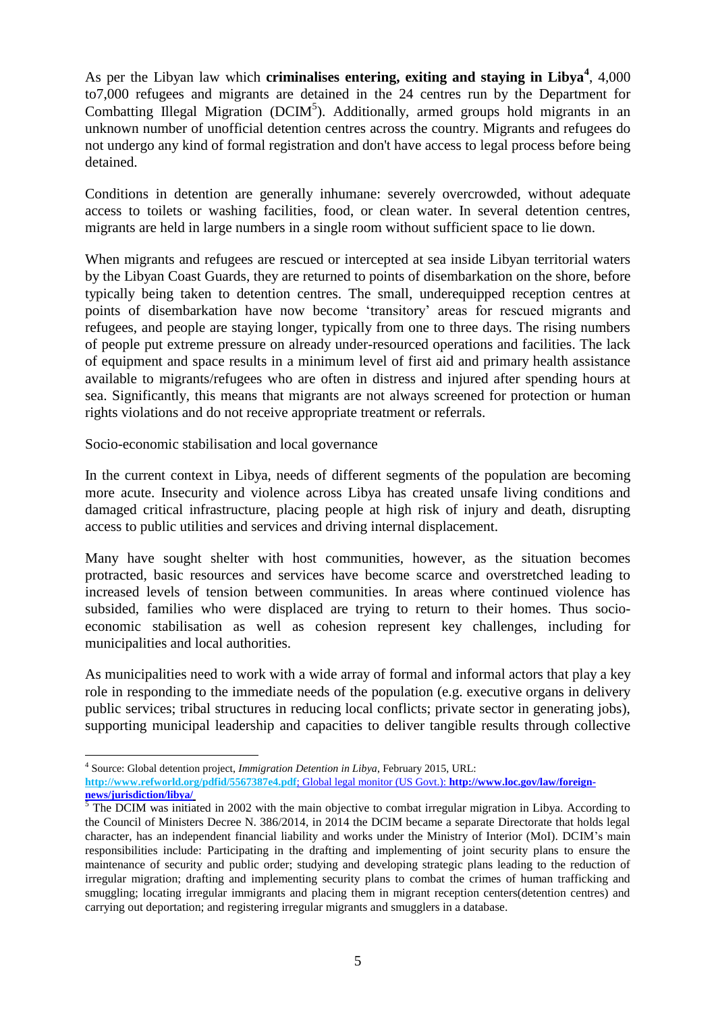As per the Libyan law which **criminalises entering, exiting and staying in Libya<sup>4</sup>, 4,000** to7,000 refugees and migrants are detained in the 24 centres run by the Department for Combatting Illegal Migration (DCIM<sup>5</sup>). Additionally, armed groups hold migrants in an unknown number of unofficial detention centres across the country. Migrants and refugees do not undergo any kind of formal registration and don't have access to legal process before being detained.

Conditions in detention are generally inhumane: severely overcrowded, without adequate access to toilets or washing facilities, food, or clean water. In several detention centres, migrants are held in large numbers in a single room without sufficient space to lie down.

When migrants and refugees are rescued or intercepted at sea inside Libyan territorial waters by the Libyan Coast Guards, they are returned to points of disembarkation on the shore, before typically being taken to detention centres. The small, underequipped reception centres at points of disembarkation have now become 'transitory' areas for rescued migrants and refugees, and people are staying longer, typically from one to three days. The rising numbers of people put extreme pressure on already under-resourced operations and facilities. The lack of equipment and space results in a minimum level of first aid and primary health assistance available to migrants/refugees who are often in distress and injured after spending hours at sea. Significantly, this means that migrants are not always screened for protection or human rights violations and do not receive appropriate treatment or referrals.

Socio-economic stabilisation and local governance

In the current context in Libya, needs of different segments of the population are becoming more acute. Insecurity and violence across Libya has created unsafe living conditions and damaged critical infrastructure, placing people at high risk of injury and death, disrupting access to public utilities and services and driving internal displacement.

Many have sought shelter with host communities, however, as the situation becomes protracted, basic resources and services have become scarce and overstretched leading to increased levels of tension between communities. In areas where continued violence has subsided, families who were displaced are trying to return to their homes. Thus socioeconomic stabilisation as well as cohesion represent key challenges, including for municipalities and local authorities.

As municipalities need to work with a wide array of formal and informal actors that play a key role in responding to the immediate needs of the population (e.g. executive organs in delivery public services; tribal structures in reducing local conflicts; private sector in generating jobs), supporting municipal leadership and capacities to deliver tangible results through collective

1

<sup>4</sup> Source: Global detention project, *Immigration Detention in Libya*, February 2015, URL:

**<http://www.refworld.org/pdfid/5567387e4.pdf>**; Global legal monitor (US Govt.): **http://www.loc.gov/law/foreignnews/jurisdiction/libya/**

 $\overline{5}$  The DCIM was initiated in 2002 with the main objective to combat irregular migration in Libya. According to the Council of Ministers Decree N. 386/2014, in 2014 the DCIM became a separate Directorate that holds legal character, has an independent financial liability and works under the Ministry of Interior (MoI). DCIM's main responsibilities include: Participating in the drafting and implementing of joint security plans to ensure the maintenance of security and public order; studying and developing strategic plans leading to the reduction of irregular migration; drafting and implementing security plans to combat the crimes of human trafficking and smuggling; locating irregular immigrants and placing them in migrant reception centers(detention centres) and carrying out deportation; and registering irregular migrants and smugglers in a database.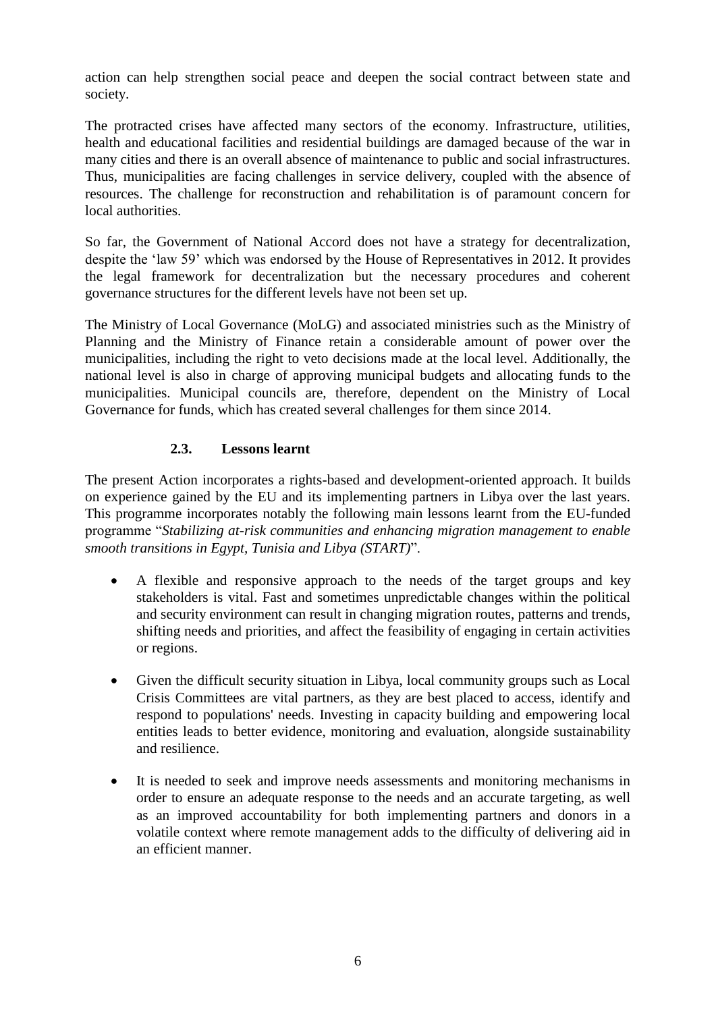action can help strengthen social peace and deepen the social contract between state and society.

The protracted crises have affected many sectors of the economy. Infrastructure, utilities, health and educational facilities and residential buildings are damaged because of the war in many cities and there is an overall absence of maintenance to public and social infrastructures. Thus, municipalities are facing challenges in service delivery, coupled with the absence of resources. The challenge for reconstruction and rehabilitation is of paramount concern for local authorities.

So far, the Government of National Accord does not have a strategy for decentralization, despite the 'law 59' which was endorsed by the House of Representatives in 2012. It provides the legal framework for decentralization but the necessary procedures and coherent governance structures for the different levels have not been set up.

The Ministry of Local Governance (MoLG) and associated ministries such as the Ministry of Planning and the Ministry of Finance retain a considerable amount of power over the municipalities, including the right to veto decisions made at the local level. Additionally, the national level is also in charge of approving municipal budgets and allocating funds to the municipalities. Municipal councils are, therefore, dependent on the Ministry of Local Governance for funds, which has created several challenges for them since 2014.

## **2.3. Lessons learnt**

The present Action incorporates a rights-based and development-oriented approach. It builds on experience gained by the EU and its implementing partners in Libya over the last years. This programme incorporates notably the following main lessons learnt from the EU-funded programme "*Stabilizing at-risk communities and enhancing migration management to enable smooth transitions in Egypt, Tunisia and Libya (START)*".

- A flexible and responsive approach to the needs of the target groups and key stakeholders is vital. Fast and sometimes unpredictable changes within the political and security environment can result in changing migration routes, patterns and trends, shifting needs and priorities, and affect the feasibility of engaging in certain activities or regions.
- Given the difficult security situation in Libya, local community groups such as Local Crisis Committees are vital partners, as they are best placed to access, identify and respond to populations' needs. Investing in capacity building and empowering local entities leads to better evidence, monitoring and evaluation, alongside sustainability and resilience.
- It is needed to seek and improve needs assessments and monitoring mechanisms in order to ensure an adequate response to the needs and an accurate targeting, as well as an improved accountability for both implementing partners and donors in a volatile context where remote management adds to the difficulty of delivering aid in an efficient manner.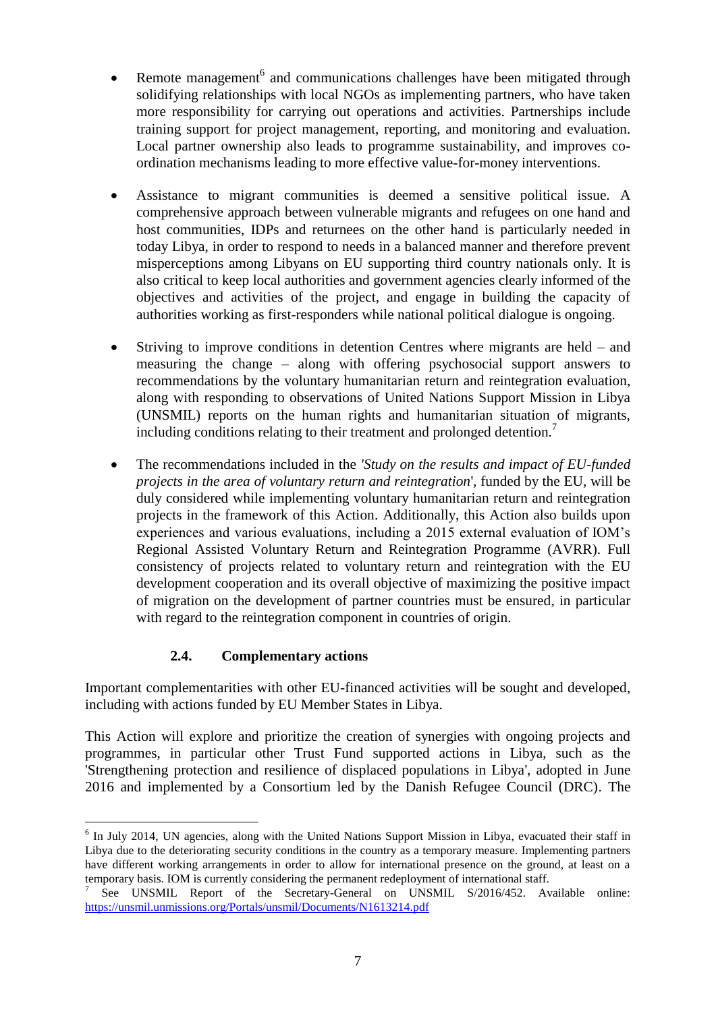- Remote management<sup>6</sup> and communications challenges have been mitigated through solidifying relationships with local NGOs as implementing partners, who have taken more responsibility for carrying out operations and activities. Partnerships include training support for project management, reporting, and monitoring and evaluation. Local partner ownership also leads to programme sustainability, and improves coordination mechanisms leading to more effective value-for-money interventions.
- Assistance to migrant communities is deemed a sensitive political issue. A comprehensive approach between vulnerable migrants and refugees on one hand and host communities, IDPs and returnees on the other hand is particularly needed in today Libya, in order to respond to needs in a balanced manner and therefore prevent misperceptions among Libyans on EU supporting third country nationals only. It is also critical to keep local authorities and government agencies clearly informed of the objectives and activities of the project, and engage in building the capacity of authorities working as first-responders while national political dialogue is ongoing.
- Striving to improve conditions in detention Centres where migrants are held and measuring the change – along with offering psychosocial support answers to recommendations by the voluntary humanitarian return and reintegration evaluation, along with responding to observations of United Nations Support Mission in Libya (UNSMIL) reports on the human rights and humanitarian situation of migrants, including conditions relating to their treatment and prolonged detention.<sup>7</sup>
- The recommendations included in the *'Study on the results and impact of EU-funded projects in the area of voluntary return and reintegration*', funded by the EU, will be duly considered while implementing voluntary humanitarian return and reintegration projects in the framework of this Action. Additionally, this Action also builds upon experiences and various evaluations, including a 2015 external evaluation of IOM's Regional Assisted Voluntary Return and Reintegration Programme (AVRR). Full consistency of projects related to voluntary return and reintegration with the EU development cooperation and its overall objective of maximizing the positive impact of migration on the development of partner countries must be ensured, in particular with regard to the reintegration component in countries of origin.

## **2.4. Complementary actions**

Important complementarities with other EU-financed activities will be sought and developed, including with actions funded by EU Member States in Libya.

This Action will explore and prioritize the creation of synergies with ongoing projects and programmes, in particular other Trust Fund supported actions in Libya, such as the 'Strengthening protection and resilience of displaced populations in Libya', adopted in June 2016 and implemented by a Consortium led by the Danish Refugee Council (DRC). The

<sup>1</sup> <sup>6</sup> In July 2014, UN agencies, along with the United Nations Support Mission in Libya, evacuated their staff in Libya due to the deteriorating security conditions in the country as a temporary measure. Implementing partners have different working arrangements in order to allow for international presence on the ground, at least on a temporary basis. IOM is currently considering the permanent redeployment of international staff.

<sup>7</sup> See UNSMIL Report of the Secretary-General on UNSMIL S/2016/452. Available online: <https://unsmil.unmissions.org/Portals/unsmil/Documents/N1613214.pdf>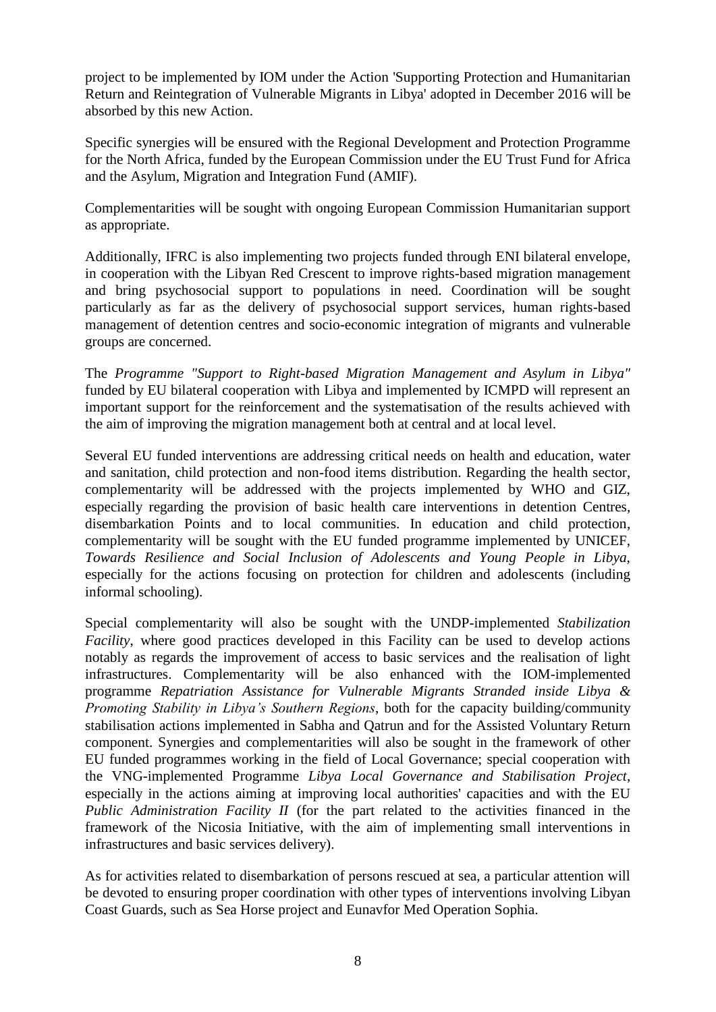project to be implemented by IOM under the Action 'Supporting Protection and Humanitarian Return and Reintegration of Vulnerable Migrants in Libya' adopted in December 2016 will be absorbed by this new Action.

Specific synergies will be ensured with the Regional Development and Protection Programme for the North Africa, funded by the European Commission under the EU Trust Fund for Africa and the Asylum, Migration and Integration Fund (AMIF).

Complementarities will be sought with ongoing European Commission Humanitarian support as appropriate.

Additionally, IFRC is also implementing two projects funded through ENI bilateral envelope, in cooperation with the Libyan Red Crescent to improve rights-based migration management and bring psychosocial support to populations in need. Coordination will be sought particularly as far as the delivery of psychosocial support services, human rights-based management of detention centres and socio-economic integration of migrants and vulnerable groups are concerned.

The *Programme "Support to Right-based Migration Management and Asylum in Libya"*  funded by EU bilateral cooperation with Libya and implemented by ICMPD will represent an important support for the reinforcement and the systematisation of the results achieved with the aim of improving the migration management both at central and at local level.

Several EU funded interventions are addressing critical needs on health and education, water and sanitation, child protection and non-food items distribution. Regarding the health sector, complementarity will be addressed with the projects implemented by WHO and GIZ, especially regarding the provision of basic health care interventions in detention Centres, disembarkation Points and to local communities. In education and child protection, complementarity will be sought with the EU funded programme implemented by UNICEF, *Towards Resilience and Social Inclusion of Adolescents and Young People in Libya,*  especially for the actions focusing on protection for children and adolescents (including informal schooling).

Special complementarity will also be sought with the UNDP-implemented *Stabilization Facility*, where good practices developed in this Facility can be used to develop actions notably as regards the improvement of access to basic services and the realisation of light infrastructures. Complementarity will be also enhanced with the IOM-implemented programme *Repatriation Assistance for Vulnerable Migrants Stranded inside Libya & Promoting Stability in Libya's Southern Regions*, both for the capacity building/community stabilisation actions implemented in Sabha and Qatrun and for the Assisted Voluntary Return component. Synergies and complementarities will also be sought in the framework of other EU funded programmes working in the field of Local Governance; special cooperation with the VNG-implemented Programme *Libya Local Governance and Stabilisation Project*, especially in the actions aiming at improving local authorities' capacities and with the EU *Public Administration Facility II* (for the part related to the activities financed in the framework of the Nicosia Initiative, with the aim of implementing small interventions in infrastructures and basic services delivery).

As for activities related to disembarkation of persons rescued at sea, a particular attention will be devoted to ensuring proper coordination with other types of interventions involving Libyan Coast Guards, such as Sea Horse project and Eunavfor Med Operation Sophia.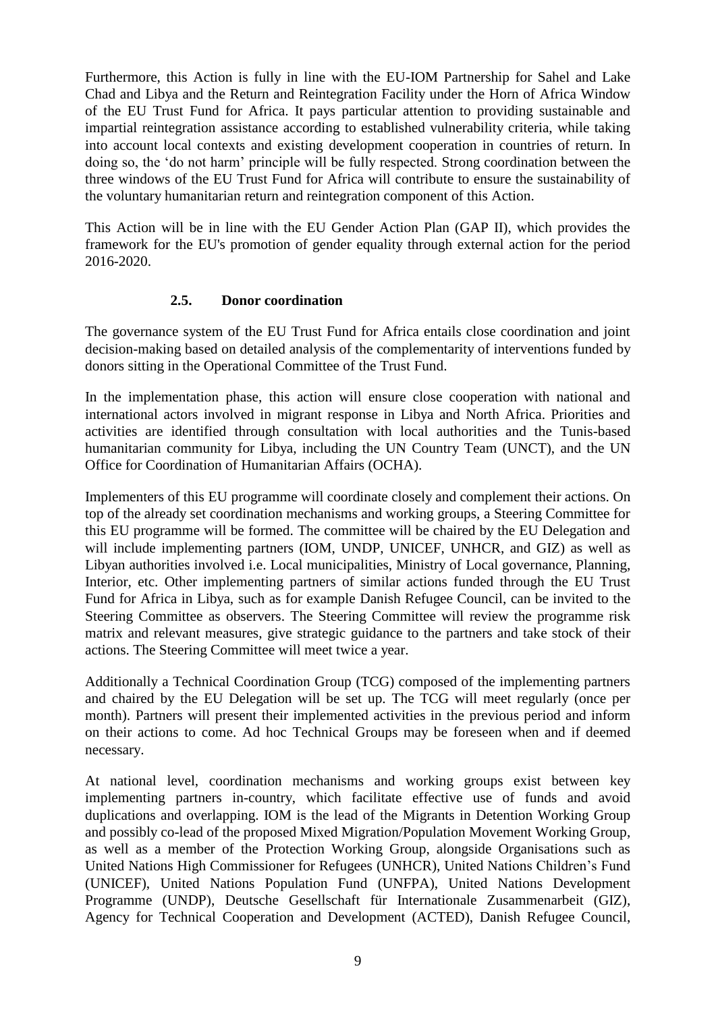Furthermore, this Action is fully in line with the EU-IOM Partnership for Sahel and Lake Chad and Libya and the Return and Reintegration Facility under the Horn of Africa Window of the EU Trust Fund for Africa. It pays particular attention to providing sustainable and impartial reintegration assistance according to established vulnerability criteria, while taking into account local contexts and existing development cooperation in countries of return. In doing so, the 'do not harm' principle will be fully respected. Strong coordination between the three windows of the EU Trust Fund for Africa will contribute to ensure the sustainability of the voluntary humanitarian return and reintegration component of this Action.

This Action will be in line with the EU Gender Action Plan (GAP II), which provides the framework for the EU's promotion of gender equality through external action for the period 2016-2020.

### **2.5. Donor coordination**

The governance system of the EU Trust Fund for Africa entails close coordination and joint decision-making based on detailed analysis of the complementarity of interventions funded by donors sitting in the Operational Committee of the Trust Fund.

In the implementation phase, this action will ensure close cooperation with national and international actors involved in migrant response in Libya and North Africa. Priorities and activities are identified through consultation with local authorities and the Tunis-based humanitarian community for Libya, including the UN Country Team (UNCT), and the UN Office for Coordination of Humanitarian Affairs (OCHA).

Implementers of this EU programme will coordinate closely and complement their actions. On top of the already set coordination mechanisms and working groups, a Steering Committee for this EU programme will be formed. The committee will be chaired by the EU Delegation and will include implementing partners (IOM, UNDP, UNICEF, UNHCR, and GIZ) as well as Libyan authorities involved i.e. Local municipalities, Ministry of Local governance, Planning, Interior, etc. Other implementing partners of similar actions funded through the EU Trust Fund for Africa in Libya, such as for example Danish Refugee Council, can be invited to the Steering Committee as observers. The Steering Committee will review the programme risk matrix and relevant measures, give strategic guidance to the partners and take stock of their actions. The Steering Committee will meet twice a year.

Additionally a Technical Coordination Group (TCG) composed of the implementing partners and chaired by the EU Delegation will be set up. The TCG will meet regularly (once per month). Partners will present their implemented activities in the previous period and inform on their actions to come. Ad hoc Technical Groups may be foreseen when and if deemed necessary.

At national level, coordination mechanisms and working groups exist between key implementing partners in-country, which facilitate effective use of funds and avoid duplications and overlapping. IOM is the lead of the Migrants in Detention Working Group and possibly co-lead of the proposed Mixed Migration/Population Movement Working Group, as well as a member of the Protection Working Group, alongside Organisations such as United Nations High Commissioner for Refugees (UNHCR), United Nations Children's Fund (UNICEF), United Nations Population Fund (UNFPA), United Nations Development Programme (UNDP), Deutsche Gesellschaft für Internationale Zusammenarbeit (GIZ), Agency for Technical Cooperation and Development (ACTED), Danish Refugee Council,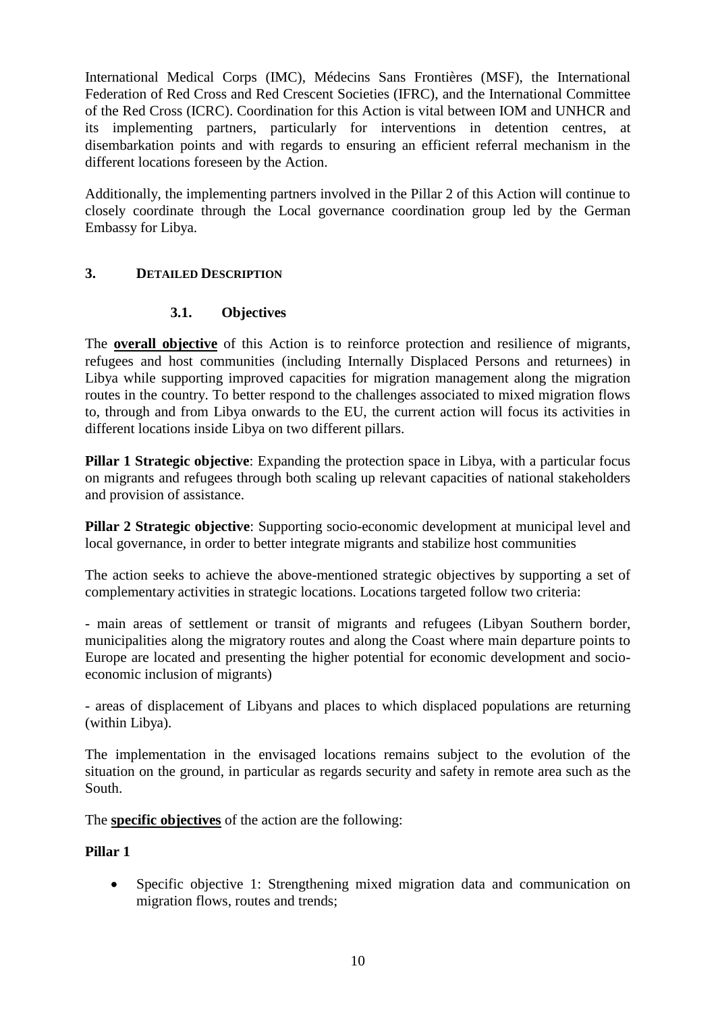International Medical Corps (IMC), Médecins Sans Frontières (MSF), the International Federation of Red Cross and Red Crescent Societies (IFRC), and the International Committee of the Red Cross (ICRC). Coordination for this Action is vital between IOM and UNHCR and its implementing partners, particularly for interventions in detention centres, at disembarkation points and with regards to ensuring an efficient referral mechanism in the different locations foreseen by the Action.

Additionally, the implementing partners involved in the Pillar 2 of this Action will continue to closely coordinate through the Local governance coordination group led by the German Embassy for Libya.

## **3. DETAILED DESCRIPTION**

## **3.1. Objectives**

The **overall objective** of this Action is to reinforce protection and resilience of migrants, refugees and host communities (including Internally Displaced Persons and returnees) in Libya while supporting improved capacities for migration management along the migration routes in the country. To better respond to the challenges associated to mixed migration flows to, through and from Libya onwards to the EU, the current action will focus its activities in different locations inside Libya on two different pillars.

**Pillar 1 Strategic objective**: Expanding the protection space in Libya, with a particular focus on migrants and refugees through both scaling up relevant capacities of national stakeholders and provision of assistance.

**Pillar 2 Strategic objective**: Supporting socio-economic development at municipal level and local governance, in order to better integrate migrants and stabilize host communities

The action seeks to achieve the above-mentioned strategic objectives by supporting a set of complementary activities in strategic locations. Locations targeted follow two criteria:

- main areas of settlement or transit of migrants and refugees (Libyan Southern border, municipalities along the migratory routes and along the Coast where main departure points to Europe are located and presenting the higher potential for economic development and socioeconomic inclusion of migrants)

- areas of displacement of Libyans and places to which displaced populations are returning (within Libya).

The implementation in the envisaged locations remains subject to the evolution of the situation on the ground, in particular as regards security and safety in remote area such as the South.

The **specific objectives** of the action are the following:

### **Pillar 1**

 Specific objective 1: Strengthening mixed migration data and communication on migration flows, routes and trends;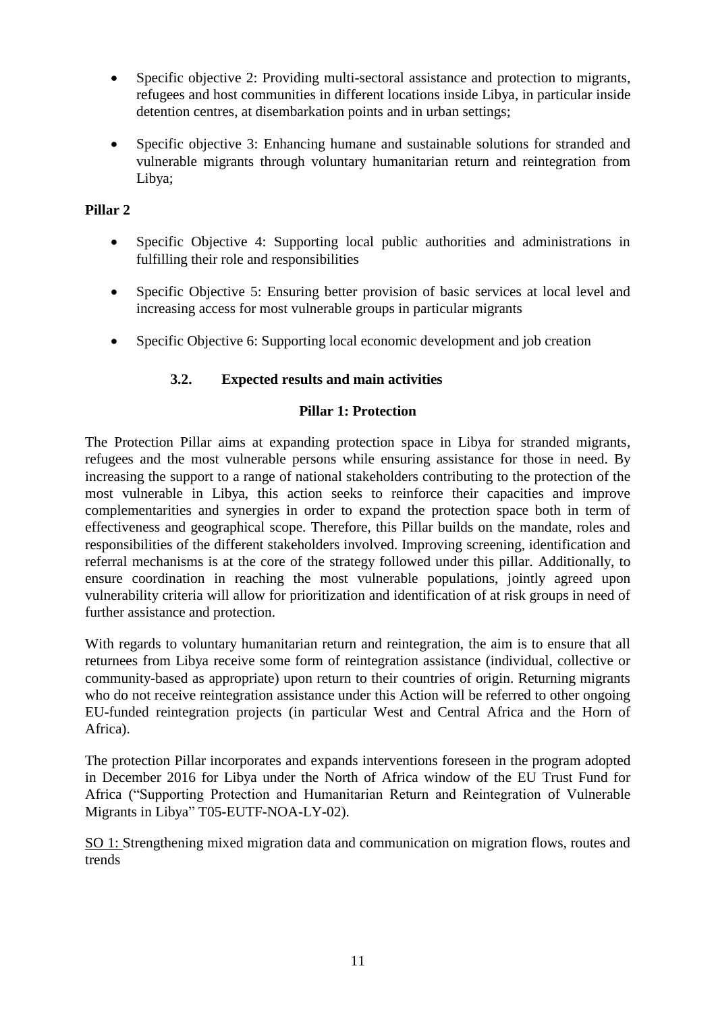- Specific objective 2: Providing multi-sectoral assistance and protection to migrants, refugees and host communities in different locations inside Libya, in particular inside detention centres, at disembarkation points and in urban settings;
- Specific objective 3: Enhancing humane and sustainable solutions for stranded and vulnerable migrants through voluntary humanitarian return and reintegration from Libya;

## **Pillar 2**

- Specific Objective 4: Supporting local public authorities and administrations in fulfilling their role and responsibilities
- Specific Objective 5: Ensuring better provision of basic services at local level and increasing access for most vulnerable groups in particular migrants
- Specific Objective 6: Supporting local economic development and job creation

# **3.2. Expected results and main activities**

## **Pillar 1: Protection**

The Protection Pillar aims at expanding protection space in Libya for stranded migrants, refugees and the most vulnerable persons while ensuring assistance for those in need. By increasing the support to a range of national stakeholders contributing to the protection of the most vulnerable in Libya, this action seeks to reinforce their capacities and improve complementarities and synergies in order to expand the protection space both in term of effectiveness and geographical scope. Therefore, this Pillar builds on the mandate, roles and responsibilities of the different stakeholders involved. Improving screening, identification and referral mechanisms is at the core of the strategy followed under this pillar. Additionally, to ensure coordination in reaching the most vulnerable populations, jointly agreed upon vulnerability criteria will allow for prioritization and identification of at risk groups in need of further assistance and protection.

With regards to voluntary humanitarian return and reintegration, the aim is to ensure that all returnees from Libya receive some form of reintegration assistance (individual, collective or community-based as appropriate) upon return to their countries of origin. Returning migrants who do not receive reintegration assistance under this Action will be referred to other ongoing EU-funded reintegration projects (in particular West and Central Africa and the Horn of Africa).

The protection Pillar incorporates and expands interventions foreseen in the program adopted in December 2016 for Libya under the North of Africa window of the EU Trust Fund for Africa ("Supporting Protection and Humanitarian Return and Reintegration of Vulnerable Migrants in Libya" T05-EUTF-NOA-LY-02).

SO 1: Strengthening mixed migration data and communication on migration flows, routes and trends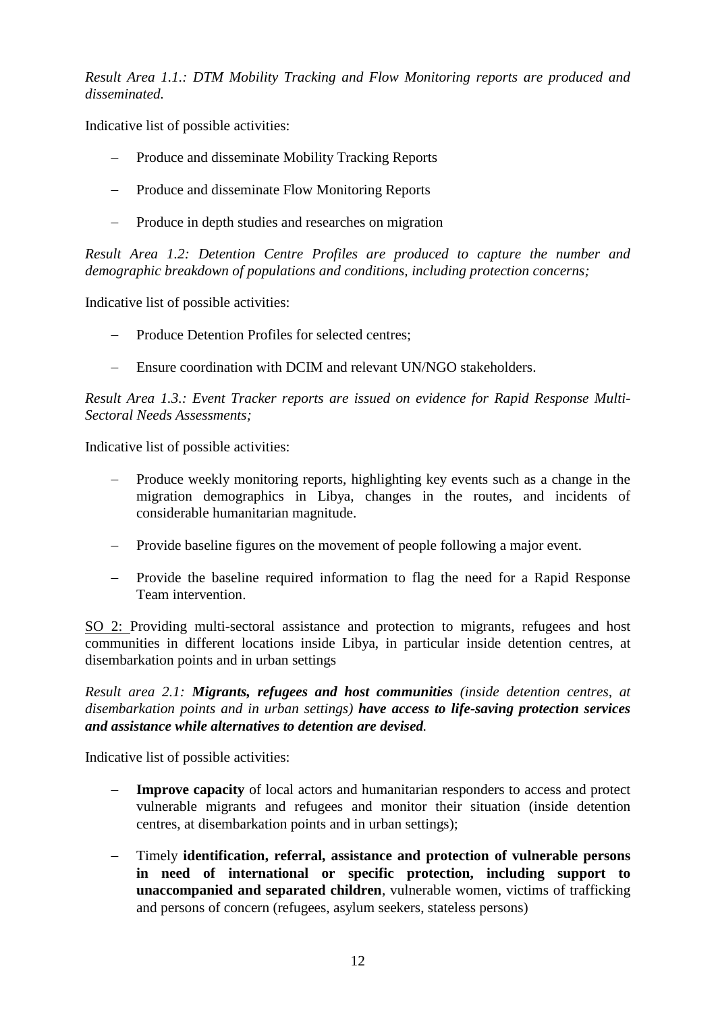*Result Area 1.1.: DTM Mobility Tracking and Flow Monitoring reports are produced and disseminated.* 

Indicative list of possible activities:

- Produce and disseminate Mobility Tracking Reports
- Produce and disseminate Flow Monitoring Reports
- Produce in depth studies and researches on migration

*Result Area 1.2: Detention Centre Profiles are produced to capture the number and demographic breakdown of populations and conditions, including protection concerns;*

Indicative list of possible activities:

- Produce Detention Profiles for selected centres;
- Ensure coordination with DCIM and relevant UN/NGO stakeholders.

*Result Area 1.3.: Event Tracker reports are issued on evidence for Rapid Response Multi-Sectoral Needs Assessments;*

Indicative list of possible activities:

- Produce weekly monitoring reports, highlighting key events such as a change in the migration demographics in Libya, changes in the routes, and incidents of considerable humanitarian magnitude.
- Provide baseline figures on the movement of people following a major event.
- Provide the baseline required information to flag the need for a Rapid Response Team intervention.

SO 2: Providing multi-sectoral assistance and protection to migrants, refugees and host communities in different locations inside Libya, in particular inside detention centres, at disembarkation points and in urban settings

*Result area 2.1: Migrants, refugees and host communities (inside detention centres, at disembarkation points and in urban settings) have access to life-saving protection services and assistance while alternatives to detention are devised.*

Indicative list of possible activities:

- **Improve capacity** of local actors and humanitarian responders to access and protect vulnerable migrants and refugees and monitor their situation (inside detention centres, at disembarkation points and in urban settings);
- Timely **identification, referral, assistance and protection of vulnerable persons in need of international or specific protection, including support to unaccompanied and separated children**, vulnerable women, victims of trafficking and persons of concern (refugees, asylum seekers, stateless persons)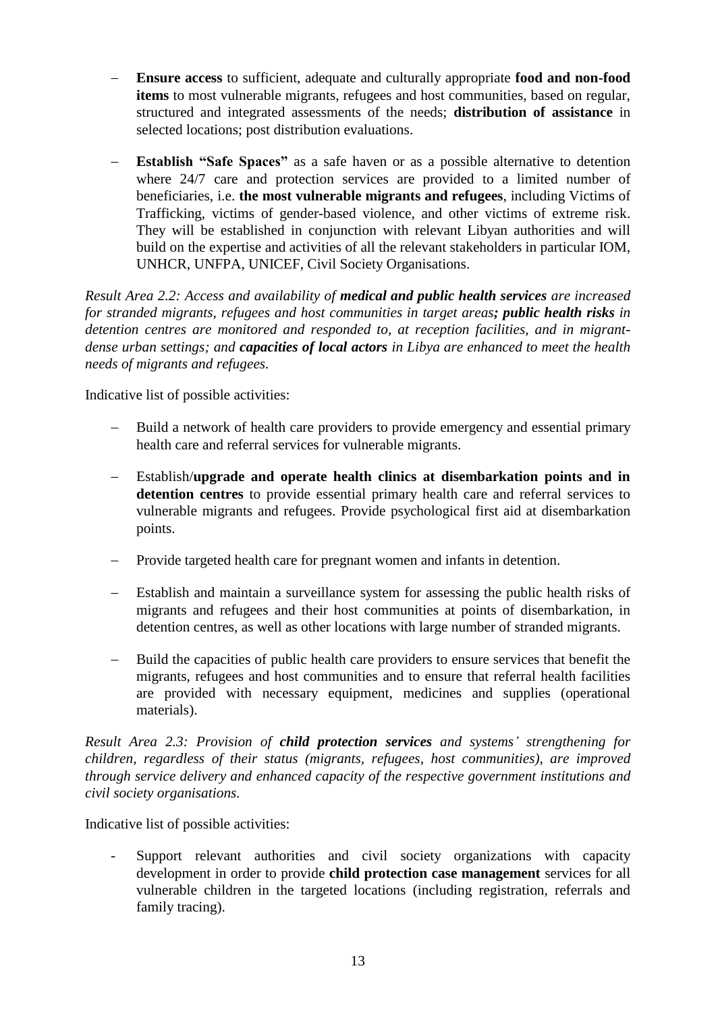- **Ensure access** to sufficient, adequate and culturally appropriate **food and non-food items** to most vulnerable migrants, refugees and host communities, based on regular, structured and integrated assessments of the needs; **distribution of assistance** in selected locations; post distribution evaluations.
- **Establish "Safe Spaces"** as a safe haven or as a possible alternative to detention where 24/7 care and protection services are provided to a limited number of beneficiaries, i.e. **the most vulnerable migrants and refugees**, including Victims of Trafficking, victims of gender-based violence, and other victims of extreme risk. They will be established in conjunction with relevant Libyan authorities and will build on the expertise and activities of all the relevant stakeholders in particular IOM, UNHCR, UNFPA, UNICEF, Civil Society Organisations.

*Result Area 2.2: Access and availability of medical and public health services are increased for stranded migrants, refugees and host communities in target areas; public health risks in detention centres are monitored and responded to, at reception facilities, and in migrantdense urban settings; and capacities of local actors in Libya are enhanced to meet the health needs of migrants and refugees.* 

Indicative list of possible activities:

- Build a network of health care providers to provide emergency and essential primary health care and referral services for vulnerable migrants.
- Establish/**upgrade and operate health clinics at disembarkation points and in detention centres** to provide essential primary health care and referral services to vulnerable migrants and refugees. Provide psychological first aid at disembarkation points.
- Provide targeted health care for pregnant women and infants in detention.
- Establish and maintain a surveillance system for assessing the public health risks of migrants and refugees and their host communities at points of disembarkation, in detention centres, as well as other locations with large number of stranded migrants.
- Build the capacities of public health care providers to ensure services that benefit the migrants, refugees and host communities and to ensure that referral health facilities are provided with necessary equipment, medicines and supplies (operational materials).

*Result Area 2.3: Provision of child protection services and systems' strengthening for children, regardless of their status (migrants, refugees, host communities), are improved through service delivery and enhanced capacity of the respective government institutions and civil society organisations.*

Indicative list of possible activities:

Support relevant authorities and civil society organizations with capacity development in order to provide **child protection case management** services for all vulnerable children in the targeted locations (including registration, referrals and family tracing).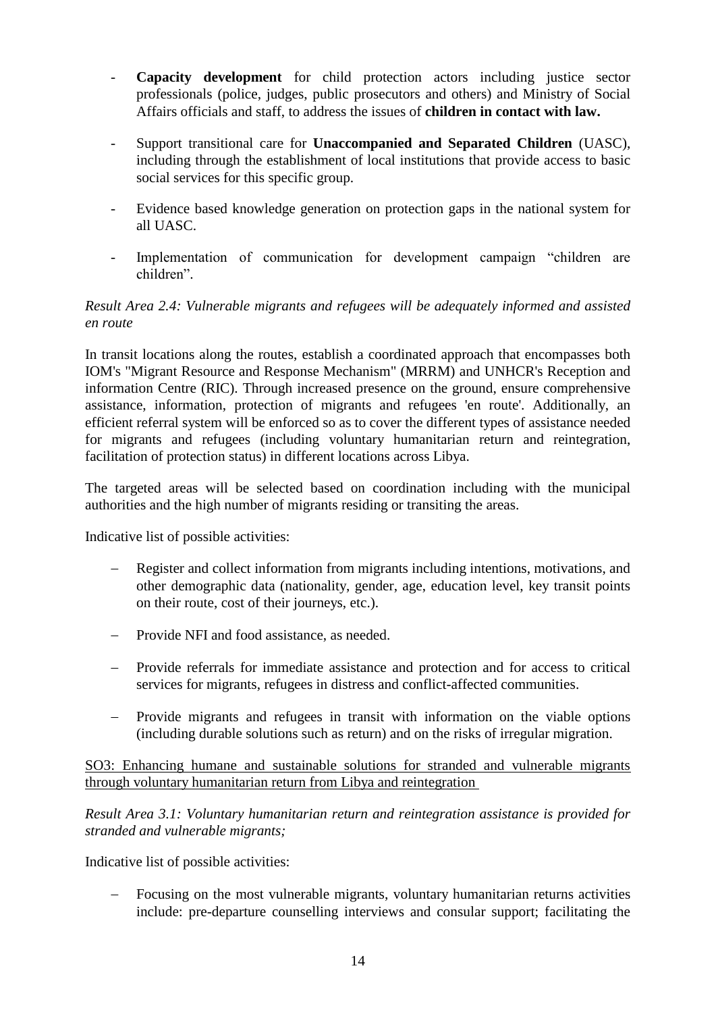- **Capacity development** for child protection actors including justice sector professionals (police, judges, public prosecutors and others) and Ministry of Social Affairs officials and staff, to address the issues of **children in contact with law.**
- Support transitional care for **Unaccompanied and Separated Children** (UASC), including through the establishment of local institutions that provide access to basic social services for this specific group.
- Evidence based knowledge generation on protection gaps in the national system for all UASC.
- Implementation of communication for development campaign "children are children".

## *Result Area 2.4: Vulnerable migrants and refugees will be adequately informed and assisted en route*

In transit locations along the routes, establish a coordinated approach that encompasses both IOM's "Migrant Resource and Response Mechanism" (MRRM) and UNHCR's Reception and information Centre (RIC). Through increased presence on the ground, ensure comprehensive assistance, information, protection of migrants and refugees 'en route'. Additionally, an efficient referral system will be enforced so as to cover the different types of assistance needed for migrants and refugees (including voluntary humanitarian return and reintegration, facilitation of protection status) in different locations across Libya.

The targeted areas will be selected based on coordination including with the municipal authorities and the high number of migrants residing or transiting the areas.

Indicative list of possible activities:

- Register and collect information from migrants including intentions, motivations, and other demographic data (nationality, gender, age, education level, key transit points on their route, cost of their journeys, etc.).
- Provide NFI and food assistance, as needed.
- Provide referrals for immediate assistance and protection and for access to critical services for migrants, refugees in distress and conflict-affected communities.
- Provide migrants and refugees in transit with information on the viable options (including durable solutions such as return) and on the risks of irregular migration.

SO3: Enhancing humane and sustainable solutions for stranded and vulnerable migrants through voluntary humanitarian return from Libya and reintegration

*Result Area 3.1: Voluntary humanitarian return and reintegration assistance is provided for stranded and vulnerable migrants;*

Indicative list of possible activities:

 Focusing on the most vulnerable migrants, voluntary humanitarian returns activities include: pre-departure counselling interviews and consular support; facilitating the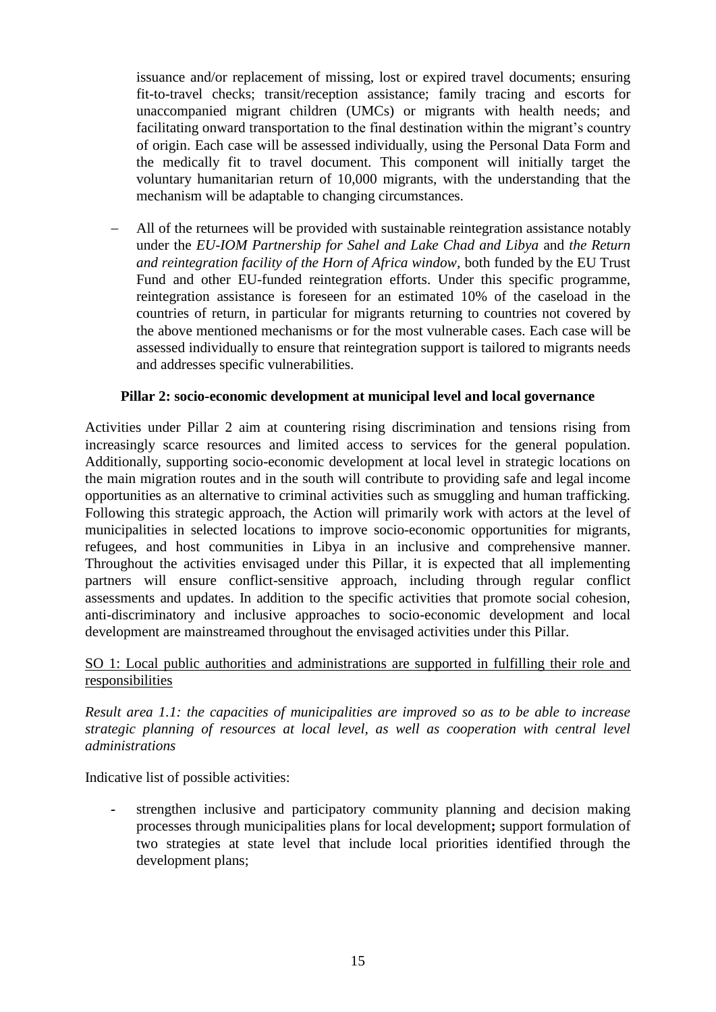issuance and/or replacement of missing, lost or expired travel documents; ensuring fit-to-travel checks; transit/reception assistance; family tracing and escorts for unaccompanied migrant children (UMCs) or migrants with health needs; and facilitating onward transportation to the final destination within the migrant's country of origin. Each case will be assessed individually, using the Personal Data Form and the medically fit to travel document. This component will initially target the voluntary humanitarian return of 10,000 migrants, with the understanding that the mechanism will be adaptable to changing circumstances.

 All of the returnees will be provided with sustainable reintegration assistance notably under the *EU-IOM Partnership for Sahel and Lake Chad and Libya* and *the Return and reintegration facility of the Horn of Africa window,* both funded by the EU Trust Fund and other EU-funded reintegration efforts. Under this specific programme, reintegration assistance is foreseen for an estimated 10% of the caseload in the countries of return, in particular for migrants returning to countries not covered by the above mentioned mechanisms or for the most vulnerable cases. Each case will be assessed individually to ensure that reintegration support is tailored to migrants needs and addresses specific vulnerabilities.

### **Pillar 2: socio-economic development at municipal level and local governance**

Activities under Pillar 2 aim at countering rising discrimination and tensions rising from increasingly scarce resources and limited access to services for the general population. Additionally, supporting socio-economic development at local level in strategic locations on the main migration routes and in the south will contribute to providing safe and legal income opportunities as an alternative to criminal activities such as smuggling and human trafficking. Following this strategic approach, the Action will primarily work with actors at the level of municipalities in selected locations to improve socio-economic opportunities for migrants, refugees, and host communities in Libya in an inclusive and comprehensive manner. Throughout the activities envisaged under this Pillar, it is expected that all implementing partners will ensure conflict-sensitive approach, including through regular conflict assessments and updates. In addition to the specific activities that promote social cohesion, anti-discriminatory and inclusive approaches to socio-economic development and local development are mainstreamed throughout the envisaged activities under this Pillar.

### SO 1: Local public authorities and administrations are supported in fulfilling their role and responsibilities

*Result area 1.1: the capacities of municipalities are improved so as to be able to increase strategic planning of resources at local level, as well as cooperation with central level administrations*

Indicative list of possible activities:

**-** strengthen inclusive and participatory community planning and decision making processes through municipalities plans for local development**;** support formulation of two strategies at state level that include local priorities identified through the development plans;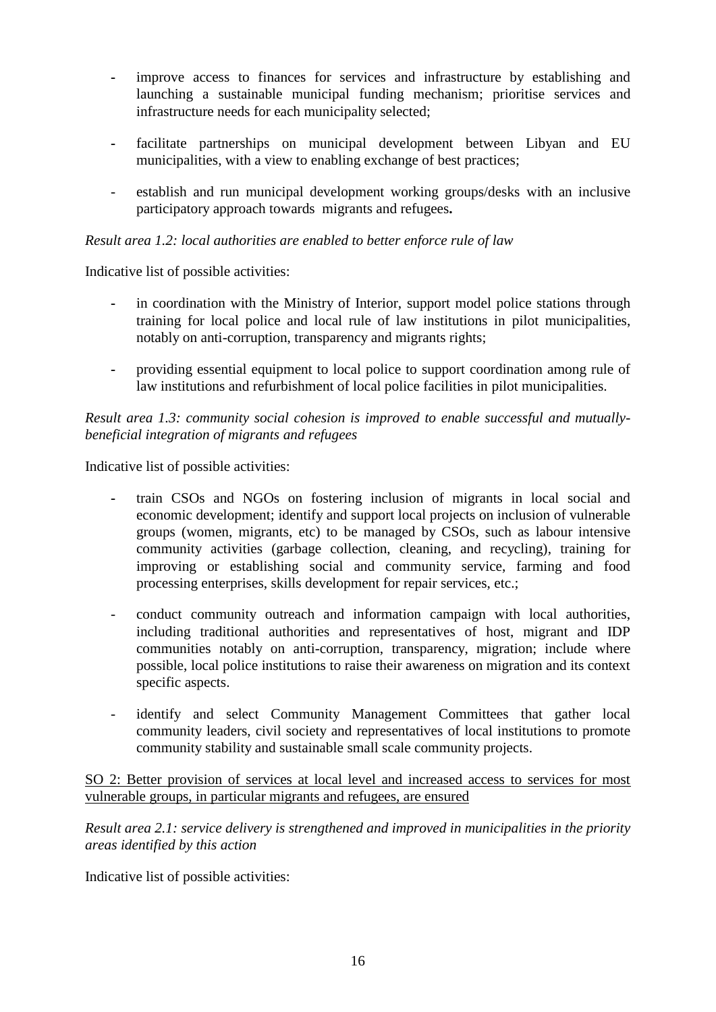- **-** improve access to finances for services and infrastructure by establishing and launching a sustainable municipal funding mechanism; prioritise services and infrastructure needs for each municipality selected;
- **-** facilitate partnerships on municipal development between Libyan and EU municipalities, with a view to enabling exchange of best practices;
- *-* establish and run municipal development working groups/desks with an inclusive participatory approach towards migrants and refugees**.**

### *Result area 1.2: local authorities are enabled to better enforce rule of law*

Indicative list of possible activities:

- **-** in coordination with the Ministry of Interior, support model police stations through training for local police and local rule of law institutions in pilot municipalities, notably on anti-corruption, transparency and migrants rights;
- **-** providing essential equipment to local police to support coordination among rule of law institutions and refurbishment of local police facilities in pilot municipalities.

### *Result area 1.3: community social cohesion is improved to enable successful and mutuallybeneficial integration of migrants and refugees*

Indicative list of possible activities:

- **-** train CSOs and NGOs on fostering inclusion of migrants in local social and economic development; identify and support local projects on inclusion of vulnerable groups (women, migrants, etc) to be managed by CSOs, such as labour intensive community activities (garbage collection, cleaning, and recycling), training for improving or establishing social and community service, farming and food processing enterprises, skills development for repair services, etc.;
- conduct community outreach and information campaign with local authorities, including traditional authorities and representatives of host, migrant and IDP communities notably on anti-corruption, transparency, migration; include where possible, local police institutions to raise their awareness on migration and its context specific aspects.
- identify and select Community Management Committees that gather local community leaders, civil society and representatives of local institutions to promote community stability and sustainable small scale community projects.

SO 2: Better provision of services at local level and increased access to services for most vulnerable groups, in particular migrants and refugees, are ensured

*Result area 2.1: service delivery is strengthened and improved in municipalities in the priority areas identified by this action*

Indicative list of possible activities: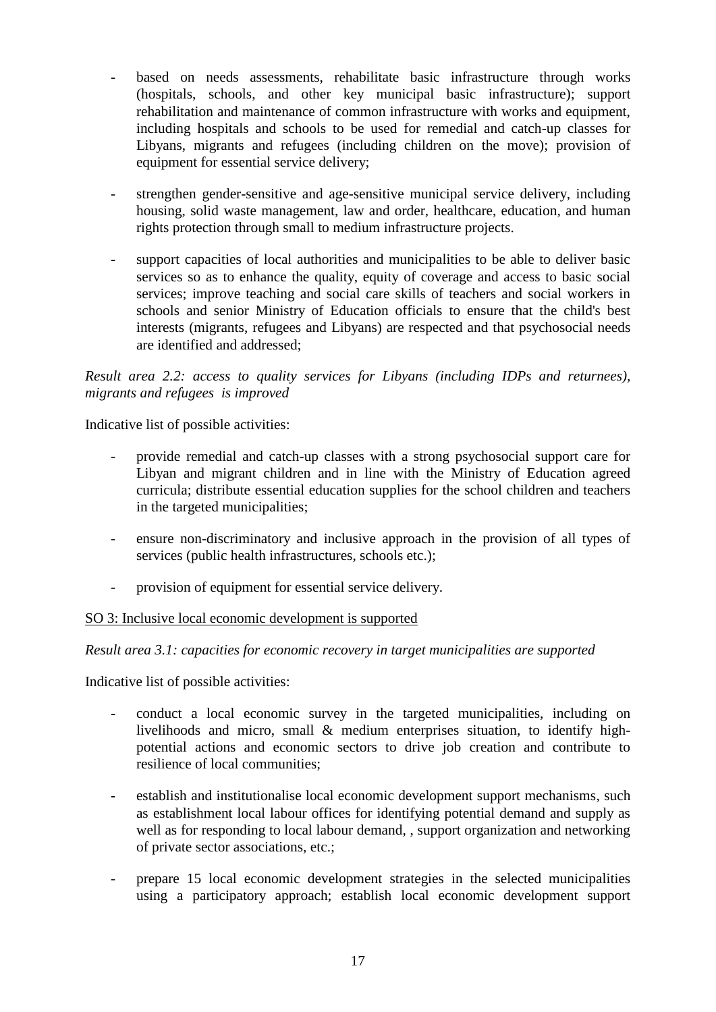- **-** based on needs assessments, rehabilitate basic infrastructure through works (hospitals, schools, and other key municipal basic infrastructure); support rehabilitation and maintenance of common infrastructure with works and equipment, including hospitals and schools to be used for remedial and catch-up classes for Libyans, migrants and refugees (including children on the move); provision of equipment for essential service delivery;
- strengthen gender-sensitive and age-sensitive municipal service delivery, including housing, solid waste management, law and order, healthcare, education, and human rights protection through small to medium infrastructure projects.
- **-** support capacities of local authorities and municipalities to be able to deliver basic services so as to enhance the quality, equity of coverage and access to basic social services; improve teaching and social care skills of teachers and social workers in schools and senior Ministry of Education officials to ensure that the child's best interests (migrants, refugees and Libyans) are respected and that psychosocial needs are identified and addressed;

*Result area 2.2: access to quality services for Libyans (including IDPs and returnees), migrants and refugees is improved*

Indicative list of possible activities:

- provide remedial and catch-up classes with a strong psychosocial support care for Libyan and migrant children and in line with the Ministry of Education agreed curricula; distribute essential education supplies for the school children and teachers in the targeted municipalities;
- ensure non-discriminatory and inclusive approach in the provision of all types of services (public health infrastructures, schools etc.);
- provision of equipment for essential service delivery.

#### SO 3: Inclusive local economic development is supported

#### *Result area 3.1: capacities for economic recovery in target municipalities are supported*

Indicative list of possible activities:

- **-** conduct a local economic survey in the targeted municipalities, including on livelihoods and micro, small & medium enterprises situation, to identify highpotential actions and economic sectors to drive job creation and contribute to resilience of local communities;
- **-** establish and institutionalise local economic development support mechanisms, such as establishment local labour offices for identifying potential demand and supply as well as for responding to local labour demand, , support organization and networking of private sector associations, etc.;
- prepare 15 local economic development strategies in the selected municipalities using a participatory approach; establish local economic development support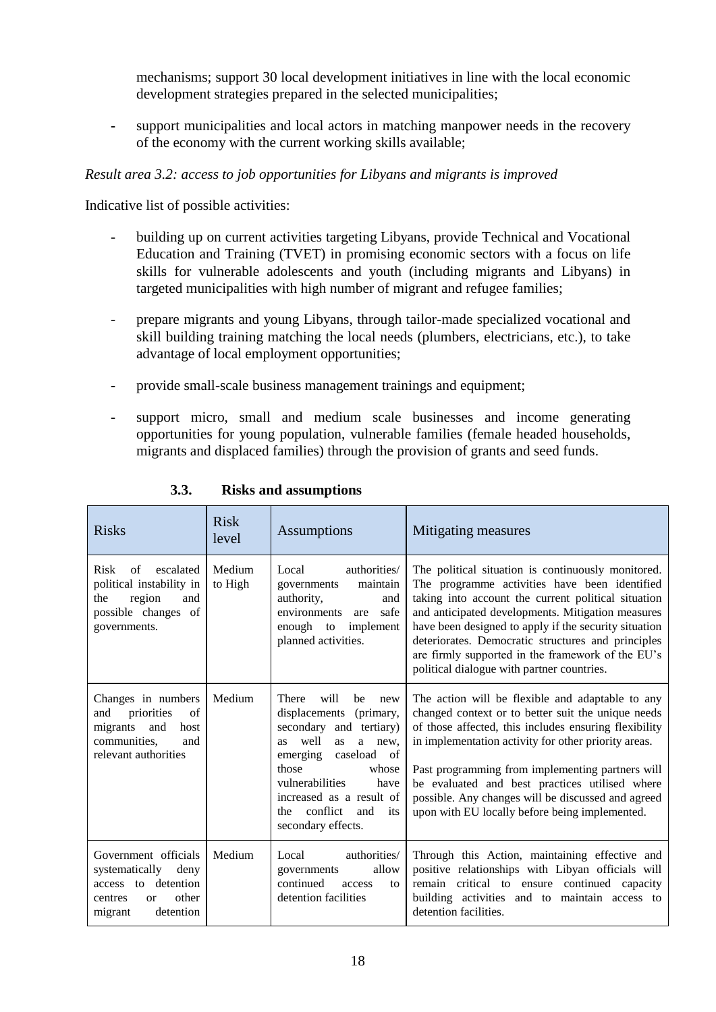mechanisms; support 30 local development initiatives in line with the local economic development strategies prepared in the selected municipalities;

**-** support municipalities and local actors in matching manpower needs in the recovery of the economy with the current working skills available;

### *Result area 3.2: access to job opportunities for Libyans and migrants is improved*

Indicative list of possible activities:

- building up on current activities targeting Libyans, provide Technical and Vocational Education and Training (TVET) in promising economic sectors with a focus on life skills for vulnerable adolescents and youth (including migrants and Libyans) in targeted municipalities with high number of migrant and refugee families;
- prepare migrants and young Libyans, through tailor-made specialized vocational and skill building training matching the local needs (plumbers, electricians, etc.), to take advantage of local employment opportunities;
- **-** provide small-scale business management trainings and equipment;
- **-** support micro, small and medium scale businesses and income generating opportunities for young population, vulnerable families (female headed households, migrants and displaced families) through the provision of grants and seed funds.

| <b>Risks</b>                                                                                                              | <b>Risk</b><br>level | Assumptions                                                                                                                                                                                                                                                                                              | Mitigating measures                                                                                                                                                                                                                                                                                                                                                                                                                   |
|---------------------------------------------------------------------------------------------------------------------------|----------------------|----------------------------------------------------------------------------------------------------------------------------------------------------------------------------------------------------------------------------------------------------------------------------------------------------------|---------------------------------------------------------------------------------------------------------------------------------------------------------------------------------------------------------------------------------------------------------------------------------------------------------------------------------------------------------------------------------------------------------------------------------------|
| <b>Risk</b><br>escalated<br>of<br>political instability in<br>region<br>the<br>and<br>possible changes of<br>governments. | Medium<br>to High    | authorities/<br>Local<br>maintain<br>governments<br>authority,<br>and<br>environments<br>safe<br>are<br>enough to<br>implement<br>planned activities.                                                                                                                                                    | The political situation is continuously monitored.<br>The programme activities have been identified<br>taking into account the current political situation<br>and anticipated developments. Mitigation measures<br>have been designed to apply if the security situation<br>deteriorates. Democratic structures and principles<br>are firmly supported in the framework of the EU's<br>political dialogue with partner countries.     |
| Changes in numbers<br>priorities<br>and<br>of<br>migrants<br>and<br>host<br>communities,<br>and<br>relevant authorities   | Medium               | <b>There</b><br>will<br>be<br>new<br>displacements<br>(primary,<br>secondary and tertiary)<br>well<br>as<br>a new.<br><b>as</b><br>emerging<br>caseload<br><sub>of</sub><br>those<br>whose<br>vulnerabilities<br>have<br>increased as a result of<br>conflict<br>and<br>the<br>its<br>secondary effects. | The action will be flexible and adaptable to any<br>changed context or to better suit the unique needs<br>of those affected, this includes ensuring flexibility<br>in implementation activity for other priority areas.<br>Past programming from implementing partners will<br>be evaluated and best practices utilised where<br>possible. Any changes will be discussed and agreed<br>upon with EU locally before being implemented. |
| Government officials<br>systematically<br>deny<br>access to detention<br>other<br>centres<br>or<br>detention<br>migrant   | Medium               | Local<br>authorities/<br>governments<br>allow<br>continued<br>access<br>tΩ<br>detention facilities                                                                                                                                                                                                       | Through this Action, maintaining effective and<br>positive relationships with Libyan officials will<br>remain critical to ensure continued capacity<br>building activities and to maintain access to<br>detention facilities.                                                                                                                                                                                                         |

### **3.3. Risks and assumptions**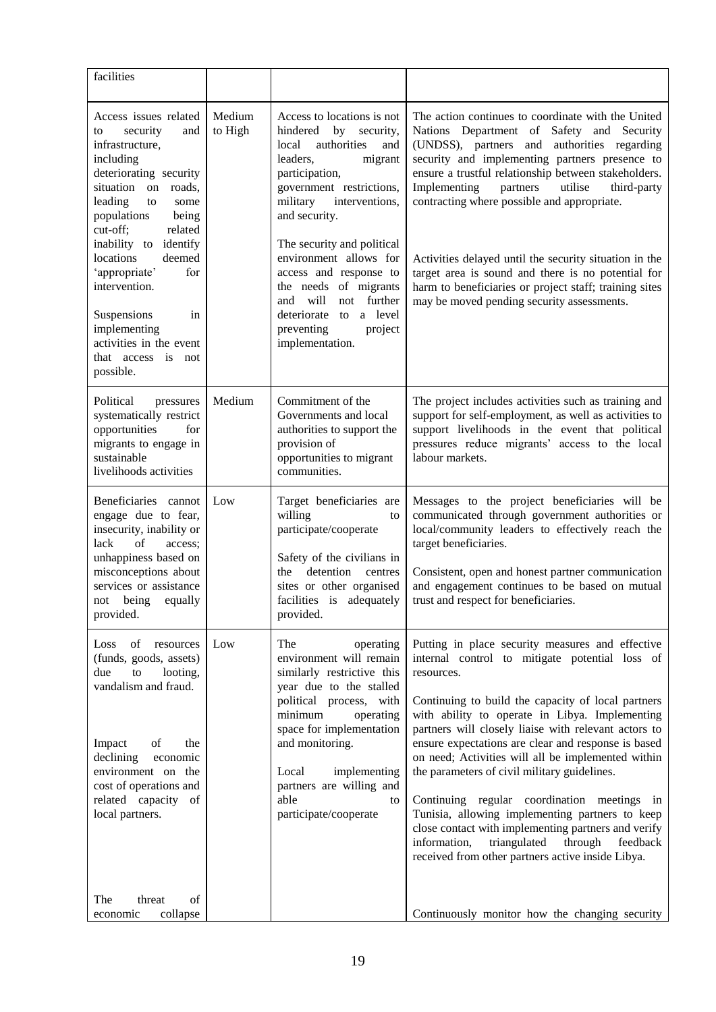| facilities                                                                                                                                                                                                                                                                                                                                                                                             |                   |                                                                                                                                                                                                                                                                                                                                                                                                                          |                                                                                                                                                                                                                                                                                                                                                                                                                                                                                                                                                                                                                                                                                                                    |
|--------------------------------------------------------------------------------------------------------------------------------------------------------------------------------------------------------------------------------------------------------------------------------------------------------------------------------------------------------------------------------------------------------|-------------------|--------------------------------------------------------------------------------------------------------------------------------------------------------------------------------------------------------------------------------------------------------------------------------------------------------------------------------------------------------------------------------------------------------------------------|--------------------------------------------------------------------------------------------------------------------------------------------------------------------------------------------------------------------------------------------------------------------------------------------------------------------------------------------------------------------------------------------------------------------------------------------------------------------------------------------------------------------------------------------------------------------------------------------------------------------------------------------------------------------------------------------------------------------|
| Access issues related<br>security<br>and<br>to<br>infrastructure,<br>including<br>deteriorating security<br>situation on<br>roads,<br>leading<br>to<br>some<br>populations<br>being<br>cut-off;<br>related<br>inability to identify<br>deemed<br>locations<br>'appropriate'<br>for<br>intervention.<br>Suspensions<br>in<br>implementing<br>activities in the event<br>that access is not<br>possible. | Medium<br>to High | Access to locations is not<br>hindered by security,<br>authorities<br>local<br>and<br>leaders,<br>migrant<br>participation,<br>government restrictions,<br>military<br>interventions,<br>and security.<br>The security and political<br>environment allows for<br>access and response to<br>the needs of migrants<br>will<br>not further<br>and<br>to a level<br>deteriorate<br>preventing<br>project<br>implementation. | The action continues to coordinate with the United<br>Nations Department of Safety and Security<br>(UNDSS), partners and authorities regarding<br>security and implementing partners presence to<br>ensure a trustful relationship between stakeholders.<br>Implementing<br>partners<br>utilise<br>third-party<br>contracting where possible and appropriate.<br>Activities delayed until the security situation in the<br>target area is sound and there is no potential for<br>harm to beneficiaries or project staff; training sites<br>may be moved pending security assessments.                                                                                                                              |
| Political<br>pressures<br>systematically restrict<br>opportunities<br>for<br>migrants to engage in<br>sustainable<br>livelihoods activities                                                                                                                                                                                                                                                            | Medium            | Commitment of the<br>Governments and local<br>authorities to support the<br>provision of<br>opportunities to migrant<br>communities.                                                                                                                                                                                                                                                                                     | The project includes activities such as training and<br>support for self-employment, as well as activities to<br>support livelihoods in the event that political<br>pressures reduce migrants' access to the local<br>labour markets.                                                                                                                                                                                                                                                                                                                                                                                                                                                                              |
| Beneficiaries cannot<br>engage due to fear,<br>insecurity, inability or<br>lack<br>of<br>access;<br>unhappiness based on<br>misconceptions about<br>services or assistance<br>equally<br>being<br>not<br>provided.                                                                                                                                                                                     | Low               | Target beneficiaries are<br>willing<br>to<br>participate/cooperate<br>Safety of the civilians in<br>detention<br>the<br>centres<br>sites or other organised<br>facilities is adequately<br>provided.                                                                                                                                                                                                                     | Messages to the project beneficiaries will be<br>communicated through government authorities or<br>local/community leaders to effectively reach the<br>target beneficiaries.<br>Consistent, open and honest partner communication<br>and engagement continues to be based on mutual<br>trust and respect for beneficiaries.                                                                                                                                                                                                                                                                                                                                                                                        |
| of resources<br>Loss<br>(funds, goods, assets)<br>due<br>to<br>looting,<br>vandalism and fraud.<br>the<br>Impact<br>of<br>declining<br>economic<br>environment on the<br>cost of operations and<br>related capacity of<br>local partners.                                                                                                                                                              | Low               | The<br>operating<br>environment will remain<br>similarly restrictive this<br>year due to the stalled<br>political process, with<br>minimum<br>operating<br>space for implementation<br>and monitoring.<br>Local<br>implementing<br>partners are willing and<br>able<br>to<br>participate/cooperate                                                                                                                       | Putting in place security measures and effective<br>internal control to mitigate potential loss of<br>resources.<br>Continuing to build the capacity of local partners<br>with ability to operate in Libya. Implementing<br>partners will closely liaise with relevant actors to<br>ensure expectations are clear and response is based<br>on need; Activities will all be implemented within<br>the parameters of civil military guidelines.<br>Continuing regular coordination meetings in<br>Tunisia, allowing implementing partners to keep<br>close contact with implementing partners and verify<br>through<br>information,<br>triangulated<br>feedback<br>received from other partners active inside Libya. |
| The<br>threat<br>of<br>collapse<br>economic                                                                                                                                                                                                                                                                                                                                                            |                   |                                                                                                                                                                                                                                                                                                                                                                                                                          | Continuously monitor how the changing security                                                                                                                                                                                                                                                                                                                                                                                                                                                                                                                                                                                                                                                                     |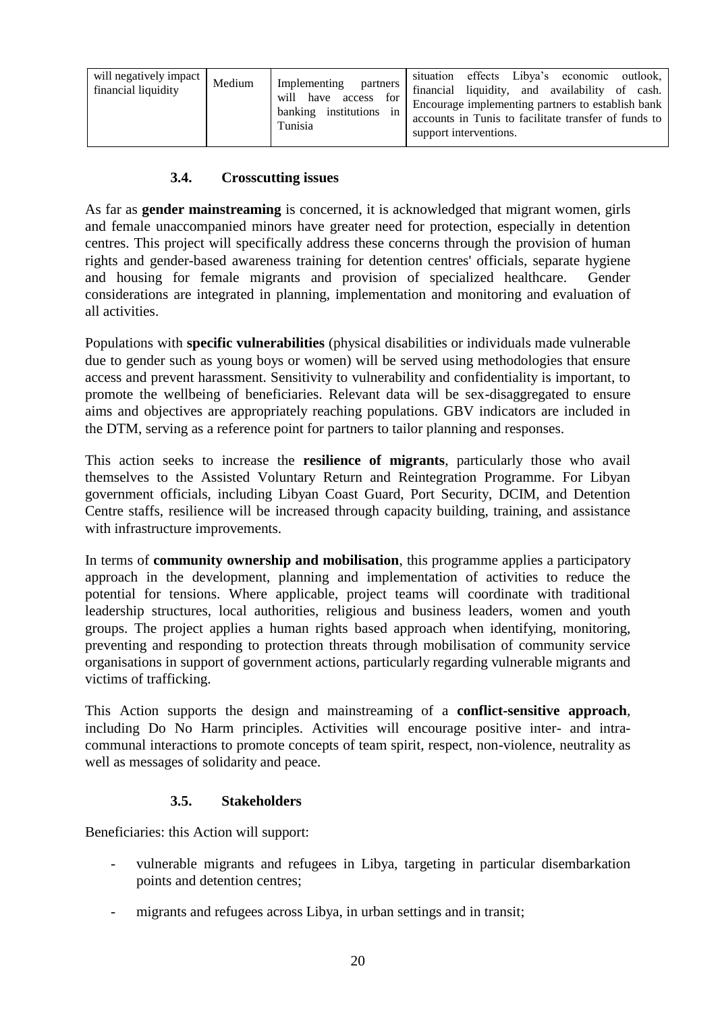| will negatively impact<br>financial liquidity | Medium | Implementing<br>partners<br>for<br>will have<br>access<br>banking institutions<br>in<br>Tunisia | situation effects Libya's economic outlook,<br>financial liquidity, and availability of cash.<br>Encourage implementing partners to establish bank<br>accounts in Tunis to facilitate transfer of funds to<br>support interventions. |
|-----------------------------------------------|--------|-------------------------------------------------------------------------------------------------|--------------------------------------------------------------------------------------------------------------------------------------------------------------------------------------------------------------------------------------|
|-----------------------------------------------|--------|-------------------------------------------------------------------------------------------------|--------------------------------------------------------------------------------------------------------------------------------------------------------------------------------------------------------------------------------------|

### **3.4. Crosscutting issues**

As far as **gender mainstreaming** is concerned, it is acknowledged that migrant women, girls and female unaccompanied minors have greater need for protection, especially in detention centres. This project will specifically address these concerns through the provision of human rights and gender-based awareness training for detention centres' officials, separate hygiene and housing for female migrants and provision of specialized healthcare. Gender considerations are integrated in planning, implementation and monitoring and evaluation of all activities.

Populations with **specific vulnerabilities** (physical disabilities or individuals made vulnerable due to gender such as young boys or women) will be served using methodologies that ensure access and prevent harassment. Sensitivity to vulnerability and confidentiality is important, to promote the wellbeing of beneficiaries. Relevant data will be sex-disaggregated to ensure aims and objectives are appropriately reaching populations. GBV indicators are included in the DTM, serving as a reference point for partners to tailor planning and responses.

This action seeks to increase the **resilience of migrants**, particularly those who avail themselves to the Assisted Voluntary Return and Reintegration Programme. For Libyan government officials, including Libyan Coast Guard, Port Security, DCIM, and Detention Centre staffs, resilience will be increased through capacity building, training, and assistance with infrastructure improvements.

In terms of **community ownership and mobilisation**, this programme applies a participatory approach in the development, planning and implementation of activities to reduce the potential for tensions. Where applicable, project teams will coordinate with traditional leadership structures, local authorities, religious and business leaders, women and youth groups. The project applies a human rights based approach when identifying, monitoring, preventing and responding to protection threats through mobilisation of community service organisations in support of government actions, particularly regarding vulnerable migrants and victims of trafficking.

This Action supports the design and mainstreaming of a **conflict-sensitive approach**, including Do No Harm principles. Activities will encourage positive inter- and intracommunal interactions to promote concepts of team spirit, respect, non-violence, neutrality as well as messages of solidarity and peace.

### **3.5. Stakeholders**

Beneficiaries: this Action will support:

- vulnerable migrants and refugees in Libya, targeting in particular disembarkation points and detention centres;
- migrants and refugees across Libya, in urban settings and in transit;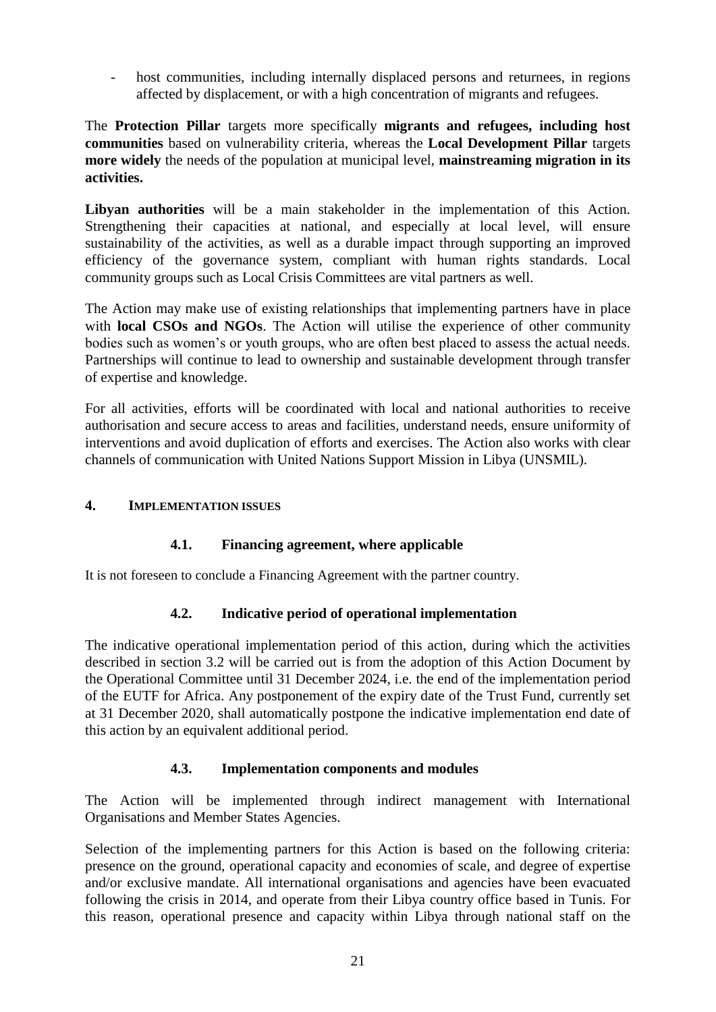- host communities, including internally displaced persons and returnees, in regions affected by displacement, or with a high concentration of migrants and refugees.

The **Protection Pillar** targets more specifically **migrants and refugees, including host communities** based on vulnerability criteria, whereas the **Local Development Pillar** targets **more widely** the needs of the population at municipal level, **mainstreaming migration in its activities.**

**Libyan authorities** will be a main stakeholder in the implementation of this Action. Strengthening their capacities at national, and especially at local level, will ensure sustainability of the activities, as well as a durable impact through supporting an improved efficiency of the governance system, compliant with human rights standards. Local community groups such as Local Crisis Committees are vital partners as well.

The Action may make use of existing relationships that implementing partners have in place with **local CSOs and NGOs**. The Action will utilise the experience of other community bodies such as women's or youth groups, who are often best placed to assess the actual needs. Partnerships will continue to lead to ownership and sustainable development through transfer of expertise and knowledge.

For all activities, efforts will be coordinated with local and national authorities to receive authorisation and secure access to areas and facilities, understand needs, ensure uniformity of interventions and avoid duplication of efforts and exercises. The Action also works with clear channels of communication with United Nations Support Mission in Libya (UNSMIL).

### **4. IMPLEMENTATION ISSUES**

### **4.1. Financing agreement, where applicable**

It is not foreseen to conclude a Financing Agreement with the partner country.

### **4.2. Indicative period of operational implementation**

The indicative operational implementation period of this action, during which the activities described in section 3.2 will be carried out is from the adoption of this Action Document by the Operational Committee until 31 December 2024, i.e. the end of the implementation period of the EUTF for Africa. Any postponement of the expiry date of the Trust Fund, currently set at 31 December 2020, shall automatically postpone the indicative implementation end date of this action by an equivalent additional period.

### **4.3. Implementation components and modules**

The Action will be implemented through indirect management with International Organisations and Member States Agencies.

Selection of the implementing partners for this Action is based on the following criteria: presence on the ground, operational capacity and economies of scale, and degree of expertise and/or exclusive mandate. All international organisations and agencies have been evacuated following the crisis in 2014, and operate from their Libya country office based in Tunis. For this reason, operational presence and capacity within Libya through national staff on the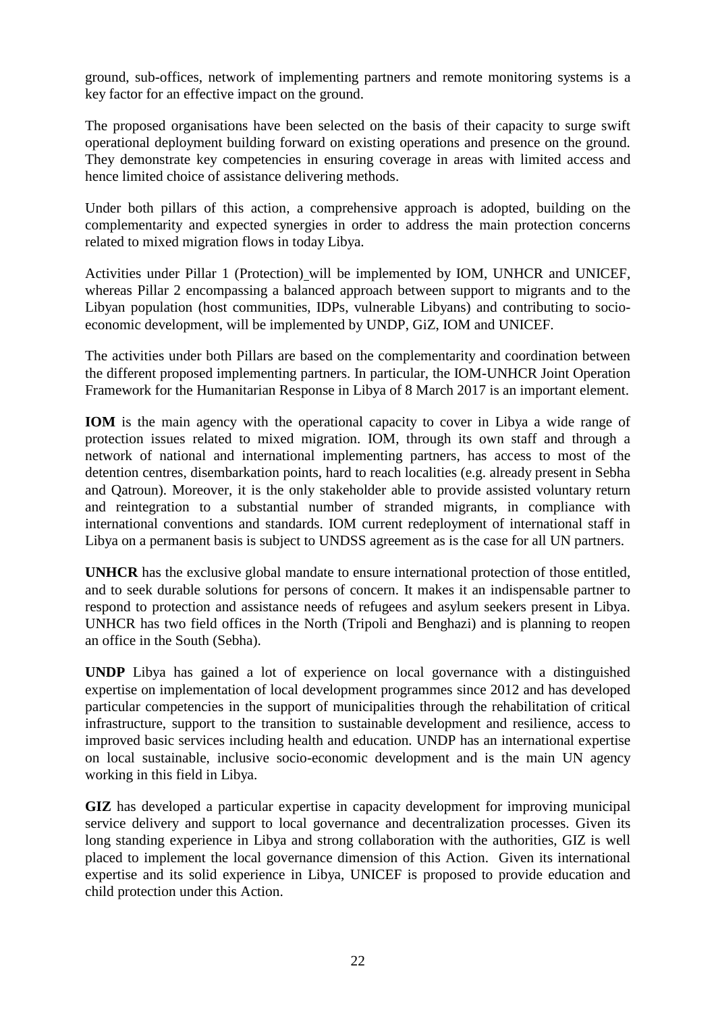ground, sub-offices, network of implementing partners and remote monitoring systems is a key factor for an effective impact on the ground.

The proposed organisations have been selected on the basis of their capacity to surge swift operational deployment building forward on existing operations and presence on the ground. They demonstrate key competencies in ensuring coverage in areas with limited access and hence limited choice of assistance delivering methods.

Under both pillars of this action, a comprehensive approach is adopted, building on the complementarity and expected synergies in order to address the main protection concerns related to mixed migration flows in today Libya.

Activities under Pillar 1 (Protection) will be implemented by IOM, UNHCR and UNICEF, whereas Pillar 2 encompassing a balanced approach between support to migrants and to the Libyan population (host communities, IDPs, vulnerable Libyans) and contributing to socioeconomic development, will be implemented by UNDP, GiZ, IOM and UNICEF.

The activities under both Pillars are based on the complementarity and coordination between the different proposed implementing partners. In particular, the IOM-UNHCR Joint Operation Framework for the Humanitarian Response in Libya of 8 March 2017 is an important element.

**IOM** is the main agency with the operational capacity to cover in Libya a wide range of protection issues related to mixed migration. IOM, through its own staff and through a network of national and international implementing partners, has access to most of the detention centres, disembarkation points, hard to reach localities (e.g. already present in Sebha and Qatroun). Moreover, it is the only stakeholder able to provide assisted voluntary return and reintegration to a substantial number of stranded migrants, in compliance with international conventions and standards. IOM current redeployment of international staff in Libya on a permanent basis is subject to UNDSS agreement as is the case for all UN partners.

**UNHCR** has the exclusive global mandate to ensure international protection of those entitled, and to seek durable solutions for persons of concern. It makes it an indispensable partner to respond to protection and assistance needs of refugees and asylum seekers present in Libya. UNHCR has two field offices in the North (Tripoli and Benghazi) and is planning to reopen an office in the South (Sebha).

**UNDP** Libya has gained a lot of experience on local governance with a distinguished expertise on implementation of local development programmes since 2012 and has developed particular competencies in the support of municipalities through the rehabilitation of critical infrastructure, support to the transition to sustainable development and resilience, access to improved basic services including health and education. UNDP has an international expertise on local sustainable, inclusive socio-economic development and is the main UN agency working in this field in Libya.

**GIZ** has developed a particular expertise in capacity development for improving municipal service delivery and support to local governance and decentralization processes. Given its long standing experience in Libya and strong collaboration with the authorities, GIZ is well placed to implement the local governance dimension of this Action. Given its international expertise and its solid experience in Libya, UNICEF is proposed to provide education and child protection under this Action.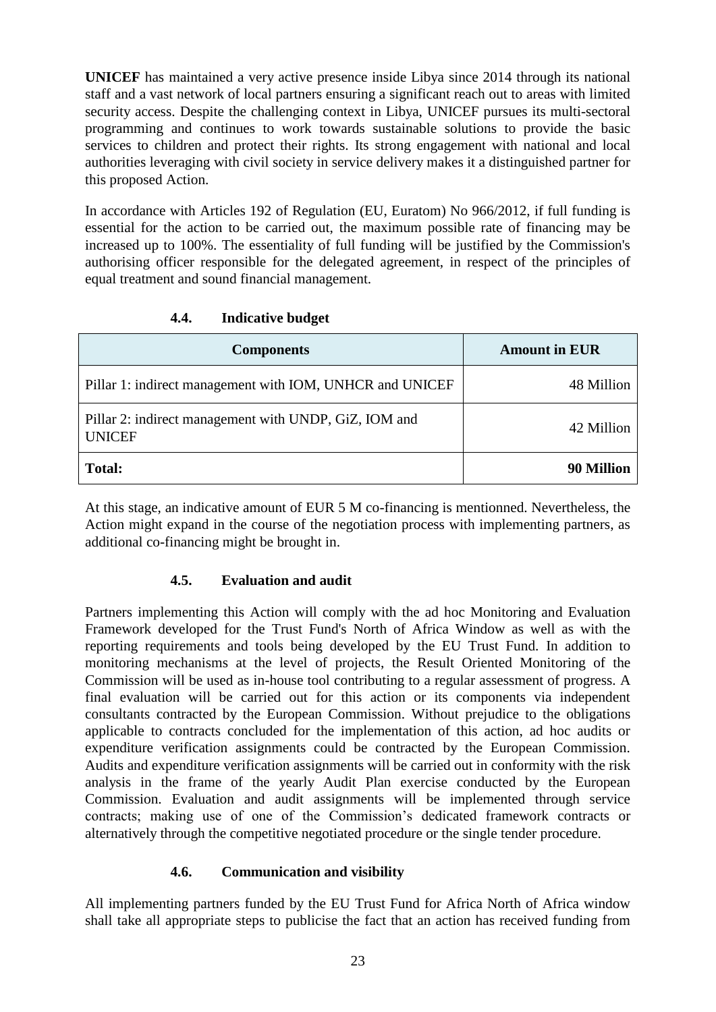**UNICEF** has maintained a very active presence inside Libya since 2014 through its national staff and a vast network of local partners ensuring a significant reach out to areas with limited security access. Despite the challenging context in Libya, UNICEF pursues its multi-sectoral programming and continues to work towards sustainable solutions to provide the basic services to children and protect their rights. Its strong engagement with national and local authorities leveraging with civil society in service delivery makes it a distinguished partner for this proposed Action.

In accordance with Articles 192 of Regulation (EU, Euratom) No 966/2012, if full funding is essential for the action to be carried out, the maximum possible rate of financing may be increased up to 100%. The essentiality of full funding will be justified by the Commission's authorising officer responsible for the delegated agreement, in respect of the principles of equal treatment and sound financial management.

| <b>Components</b>                                                      | <b>Amount in EUR</b> |
|------------------------------------------------------------------------|----------------------|
| Pillar 1: indirect management with IOM, UNHCR and UNICEF               | 48 Million           |
| Pillar 2: indirect management with UNDP, GiZ, IOM and<br><b>UNICEF</b> | 42 Million           |
| <b>Total:</b>                                                          | 90 Million           |

# **4.4. Indicative budget**

At this stage, an indicative amount of EUR 5 M co-financing is mentionned. Nevertheless, the Action might expand in the course of the negotiation process with implementing partners, as additional co-financing might be brought in.

## **4.5. Evaluation and audit**

Partners implementing this Action will comply with the ad hoc Monitoring and Evaluation Framework developed for the Trust Fund's North of Africa Window as well as with the reporting requirements and tools being developed by the EU Trust Fund. In addition to monitoring mechanisms at the level of projects, the Result Oriented Monitoring of the Commission will be used as in-house tool contributing to a regular assessment of progress. A final evaluation will be carried out for this action or its components via independent consultants contracted by the European Commission. Without prejudice to the obligations applicable to contracts concluded for the implementation of this action, ad hoc audits or expenditure verification assignments could be contracted by the European Commission. Audits and expenditure verification assignments will be carried out in conformity with the risk analysis in the frame of the yearly Audit Plan exercise conducted by the European Commission. Evaluation and audit assignments will be implemented through service contracts; making use of one of the Commission's dedicated framework contracts or alternatively through the competitive negotiated procedure or the single tender procedure.

## **4.6. Communication and visibility**

All implementing partners funded by the EU Trust Fund for Africa North of Africa window shall take all appropriate steps to publicise the fact that an action has received funding from